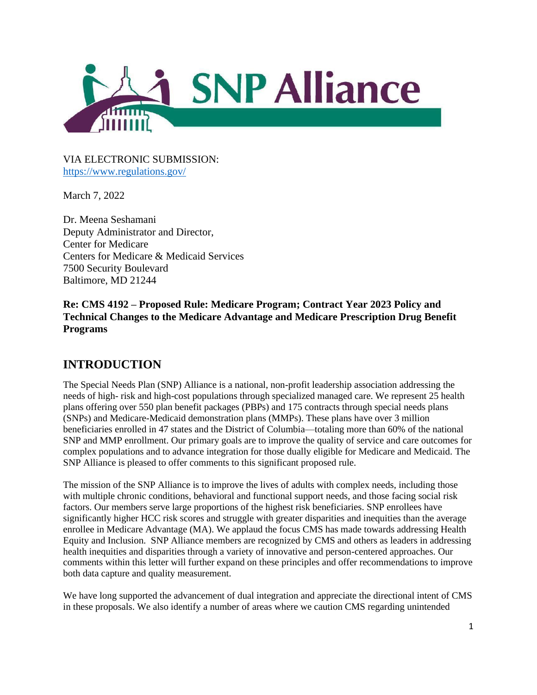

VIA ELECTRONIC SUBMISSION: <https://www.regulations.gov/>

March 7, 2022

Dr. Meena Seshamani Deputy Administrator and Director, Center for Medicare Centers for Medicare & Medicaid Services 7500 Security Boulevard Baltimore, MD 21244

**Re: CMS 4192 – Proposed Rule: Medicare Program; Contract Year 2023 Policy and Technical Changes to the Medicare Advantage and Medicare Prescription Drug Benefit Programs**

# **INTRODUCTION**

The Special Needs Plan (SNP) Alliance is a national, non-profit leadership association addressing the needs of high- risk and high-cost populations through specialized managed care. We represent 25 health plans offering over 550 plan benefit packages (PBPs) and 175 contracts through special needs plans (SNPs) and Medicare-Medicaid demonstration plans (MMPs). These plans have over 3 million beneficiaries enrolled in 47 states and the District of Columbia—totaling more than 60% of the national SNP and MMP enrollment. Our primary goals are to improve the quality of service and care outcomes for complex populations and to advance integration for those dually eligible for Medicare and Medicaid. The SNP Alliance is pleased to offer comments to this significant proposed rule.

The mission of the SNP Alliance is to improve the lives of adults with complex needs, including those with multiple chronic conditions, behavioral and functional support needs, and those facing social risk factors. Our members serve large proportions of the highest risk beneficiaries. SNP enrollees have significantly higher HCC risk scores and struggle with greater disparities and inequities than the average enrollee in Medicare Advantage (MA). We applaud the focus CMS has made towards addressing Health Equity and Inclusion. SNP Alliance members are recognized by CMS and others as leaders in addressing health inequities and disparities through a variety of innovative and person-centered approaches. Our comments within this letter will further expand on these principles and offer recommendations to improve both data capture and quality measurement.

We have long supported the advancement of dual integration and appreciate the directional intent of CMS in these proposals. We also identify a number of areas where we caution CMS regarding unintended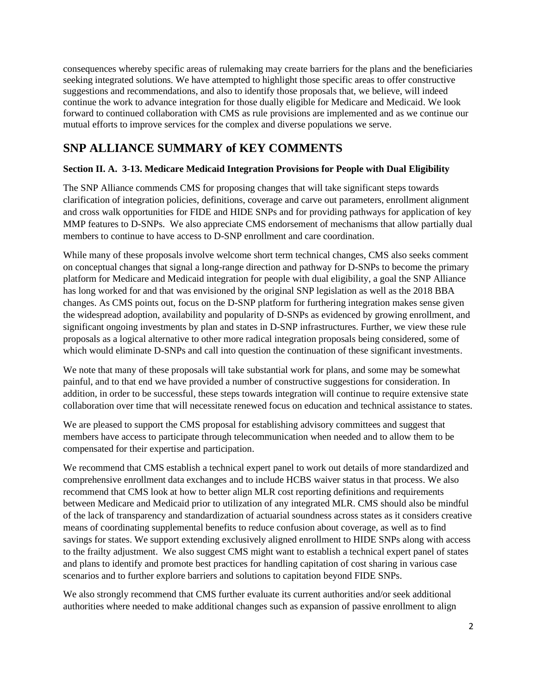consequences whereby specific areas of rulemaking may create barriers for the plans and the beneficiaries seeking integrated solutions. We have attempted to highlight those specific areas to offer constructive suggestions and recommendations, and also to identify those proposals that, we believe, will indeed continue the work to advance integration for those dually eligible for Medicare and Medicaid. We look forward to continued collaboration with CMS as rule provisions are implemented and as we continue our mutual efforts to improve services for the complex and diverse populations we serve.

# **SNP ALLIANCE SUMMARY of KEY COMMENTS**

## **Section II. A. 3-13. Medicare Medicaid Integration Provisions for People with Dual Eligibility**

The SNP Alliance commends CMS for proposing changes that will take significant steps towards clarification of integration policies, definitions, coverage and carve out parameters, enrollment alignment and cross walk opportunities for FIDE and HIDE SNPs and for providing pathways for application of key MMP features to D-SNPs. We also appreciate CMS endorsement of mechanisms that allow partially dual members to continue to have access to D-SNP enrollment and care coordination.

While many of these proposals involve welcome short term technical changes, CMS also seeks comment on conceptual changes that signal a long-range direction and pathway for D-SNPs to become the primary platform for Medicare and Medicaid integration for people with dual eligibility, a goal the SNP Alliance has long worked for and that was envisioned by the original SNP legislation as well as the 2018 BBA changes. As CMS points out, focus on the D-SNP platform for furthering integration makes sense given the widespread adoption, availability and popularity of D-SNPs as evidenced by growing enrollment, and significant ongoing investments by plan and states in D-SNP infrastructures. Further, we view these rule proposals as a logical alternative to other more radical integration proposals being considered, some of which would eliminate D-SNPs and call into question the continuation of these significant investments.

We note that many of these proposals will take substantial work for plans, and some may be somewhat painful, and to that end we have provided a number of constructive suggestions for consideration. In addition, in order to be successful, these steps towards integration will continue to require extensive state collaboration over time that will necessitate renewed focus on education and technical assistance to states.

We are pleased to support the CMS proposal for establishing advisory committees and suggest that members have access to participate through telecommunication when needed and to allow them to be compensated for their expertise and participation.

We recommend that CMS establish a technical expert panel to work out details of more standardized and comprehensive enrollment data exchanges and to include HCBS waiver status in that process. We also recommend that CMS look at how to better align MLR cost reporting definitions and requirements between Medicare and Medicaid prior to utilization of any integrated MLR. CMS should also be mindful of the lack of transparency and standardization of actuarial soundness across states as it considers creative means of coordinating supplemental benefits to reduce confusion about coverage, as well as to find savings for states. We support extending exclusively aligned enrollment to HIDE SNPs along with access to the frailty adjustment. We also suggest CMS might want to establish a technical expert panel of states and plans to identify and promote best practices for handling capitation of cost sharing in various case scenarios and to further explore barriers and solutions to capitation beyond FIDE SNPs.

We also strongly recommend that CMS further evaluate its current authorities and/or seek additional authorities where needed to make additional changes such as expansion of passive enrollment to align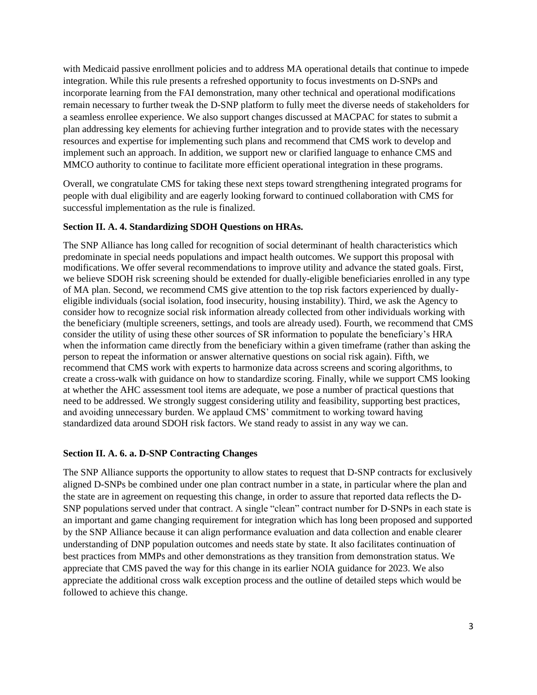with Medicaid passive enrollment policies and to address MA operational details that continue to impede integration. While this rule presents a refreshed opportunity to focus investments on D-SNPs and incorporate learning from the FAI demonstration, many other technical and operational modifications remain necessary to further tweak the D-SNP platform to fully meet the diverse needs of stakeholders for a seamless enrollee experience. We also support changes discussed at MACPAC for states to submit a plan addressing key elements for achieving further integration and to provide states with the necessary resources and expertise for implementing such plans and recommend that CMS work to develop and implement such an approach. In addition, we support new or clarified language to enhance CMS and MMCO authority to continue to facilitate more efficient operational integration in these programs.

Overall, we congratulate CMS for taking these next steps toward strengthening integrated programs for people with dual eligibility and are eagerly looking forward to continued collaboration with CMS for successful implementation as the rule is finalized.

#### **Section II. A. 4. Standardizing SDOH Questions on HRAs.**

The SNP Alliance has long called for recognition of social determinant of health characteristics which predominate in special needs populations and impact health outcomes. We support this proposal with modifications. We offer several recommendations to improve utility and advance the stated goals. First, we believe SDOH risk screening should be extended for dually-eligible beneficiaries enrolled in any type of MA plan. Second, we recommend CMS give attention to the top risk factors experienced by duallyeligible individuals (social isolation, food insecurity, housing instability). Third, we ask the Agency to consider how to recognize social risk information already collected from other individuals working with the beneficiary (multiple screeners, settings, and tools are already used). Fourth, we recommend that CMS consider the utility of using these other sources of SR information to populate the beneficiary's HRA when the information came directly from the beneficiary within a given timeframe (rather than asking the person to repeat the information or answer alternative questions on social risk again). Fifth, we recommend that CMS work with experts to harmonize data across screens and scoring algorithms, to create a cross-walk with guidance on how to standardize scoring. Finally, while we support CMS looking at whether the AHC assessment tool items are adequate, we pose a number of practical questions that need to be addressed. We strongly suggest considering utility and feasibility, supporting best practices, and avoiding unnecessary burden. We applaud CMS' commitment to working toward having standardized data around SDOH risk factors. We stand ready to assist in any way we can.

#### **Section II. A. 6. a. D-SNP Contracting Changes**

The SNP Alliance supports the opportunity to allow states to request that D-SNP contracts for exclusively aligned D-SNPs be combined under one plan contract number in a state, in particular where the plan and the state are in agreement on requesting this change, in order to assure that reported data reflects the D-SNP populations served under that contract. A single "clean" contract number for D-SNPs in each state is an important and game changing requirement for integration which has long been proposed and supported by the SNP Alliance because it can align performance evaluation and data collection and enable clearer understanding of DNP population outcomes and needs state by state. It also facilitates continuation of best practices from MMPs and other demonstrations as they transition from demonstration status. We appreciate that CMS paved the way for this change in its earlier NOIA guidance for 2023. We also appreciate the additional cross walk exception process and the outline of detailed steps which would be followed to achieve this change.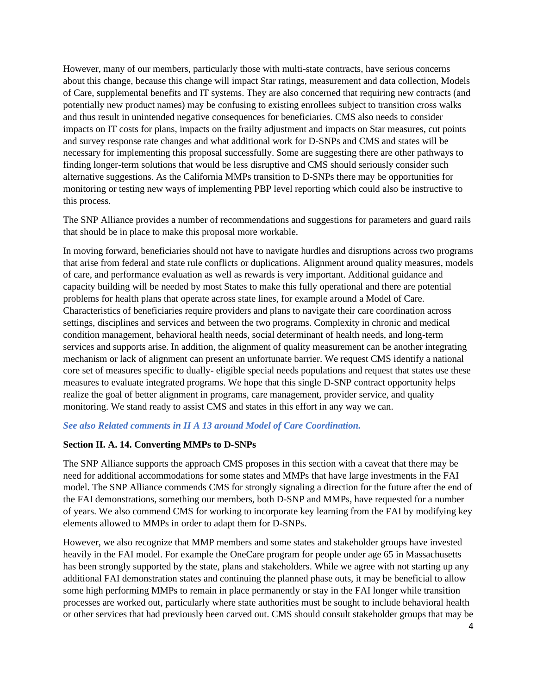However, many of our members, particularly those with multi-state contracts, have serious concerns about this change, because this change will impact Star ratings, measurement and data collection, Models of Care, supplemental benefits and IT systems. They are also concerned that requiring new contracts (and potentially new product names) may be confusing to existing enrollees subject to transition cross walks and thus result in unintended negative consequences for beneficiaries. CMS also needs to consider impacts on IT costs for plans, impacts on the frailty adjustment and impacts on Star measures, cut points and survey response rate changes and what additional work for D-SNPs and CMS and states will be necessary for implementing this proposal successfully. Some are suggesting there are other pathways to finding longer-term solutions that would be less disruptive and CMS should seriously consider such alternative suggestions. As the California MMPs transition to D-SNPs there may be opportunities for monitoring or testing new ways of implementing PBP level reporting which could also be instructive to this process.

The SNP Alliance provides a number of recommendations and suggestions for parameters and guard rails that should be in place to make this proposal more workable.

In moving forward, beneficiaries should not have to navigate hurdles and disruptions across two programs that arise from federal and state rule conflicts or duplications. Alignment around quality measures, models of care, and performance evaluation as well as rewards is very important. Additional guidance and capacity building will be needed by most States to make this fully operational and there are potential problems for health plans that operate across state lines, for example around a Model of Care. Characteristics of beneficiaries require providers and plans to navigate their care coordination across settings, disciplines and services and between the two programs. Complexity in chronic and medical condition management, behavioral health needs, social determinant of health needs, and long-term services and supports arise. In addition, the alignment of quality measurement can be another integrating mechanism or lack of alignment can present an unfortunate barrier. We request CMS identify a national core set of measures specific to dually- eligible special needs populations and request that states use these measures to evaluate integrated programs. We hope that this single D-SNP contract opportunity helps realize the goal of better alignment in programs, care management, provider service, and quality monitoring. We stand ready to assist CMS and states in this effort in any way we can.

#### *See also Related comments in II A 13 around Model of Care Coordination.*

#### **Section II. A. 14. Converting MMPs to D-SNPs**

The SNP Alliance supports the approach CMS proposes in this section with a caveat that there may be need for additional accommodations for some states and MMPs that have large investments in the FAI model. The SNP Alliance commends CMS for strongly signaling a direction for the future after the end of the FAI demonstrations, something our members, both D-SNP and MMPs, have requested for a number of years. We also commend CMS for working to incorporate key learning from the FAI by modifying key elements allowed to MMPs in order to adapt them for D-SNPs.

However, we also recognize that MMP members and some states and stakeholder groups have invested heavily in the FAI model. For example the OneCare program for people under age 65 in Massachusetts has been strongly supported by the state, plans and stakeholders. While we agree with not starting up any additional FAI demonstration states and continuing the planned phase outs, it may be beneficial to allow some high performing MMPs to remain in place permanently or stay in the FAI longer while transition processes are worked out, particularly where state authorities must be sought to include behavioral health or other services that had previously been carved out. CMS should consult stakeholder groups that may be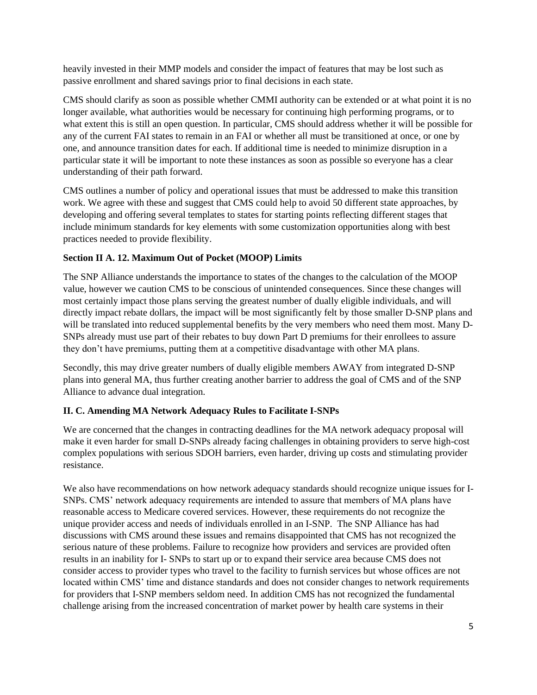heavily invested in their MMP models and consider the impact of features that may be lost such as passive enrollment and shared savings prior to final decisions in each state.

CMS should clarify as soon as possible whether CMMI authority can be extended or at what point it is no longer available, what authorities would be necessary for continuing high performing programs, or to what extent this is still an open question. In particular, CMS should address whether it will be possible for any of the current FAI states to remain in an FAI or whether all must be transitioned at once, or one by one, and announce transition dates for each. If additional time is needed to minimize disruption in a particular state it will be important to note these instances as soon as possible so everyone has a clear understanding of their path forward.

CMS outlines a number of policy and operational issues that must be addressed to make this transition work. We agree with these and suggest that CMS could help to avoid 50 different state approaches, by developing and offering several templates to states for starting points reflecting different stages that include minimum standards for key elements with some customization opportunities along with best practices needed to provide flexibility.

### **Section II A. 12. Maximum Out of Pocket (MOOP) Limits**

The SNP Alliance understands the importance to states of the changes to the calculation of the MOOP value, however we caution CMS to be conscious of unintended consequences. Since these changes will most certainly impact those plans serving the greatest number of dually eligible individuals, and will directly impact rebate dollars, the impact will be most significantly felt by those smaller D-SNP plans and will be translated into reduced supplemental benefits by the very members who need them most. Many D-SNPs already must use part of their rebates to buy down Part D premiums for their enrollees to assure they don't have premiums, putting them at a competitive disadvantage with other MA plans.

Secondly, this may drive greater numbers of dually eligible members AWAY from integrated D-SNP plans into general MA, thus further creating another barrier to address the goal of CMS and of the SNP Alliance to advance dual integration.

### **II. C. Amending MA Network Adequacy Rules to Facilitate I-SNPs**

We are concerned that the changes in contracting deadlines for the MA network adequacy proposal will make it even harder for small D-SNPs already facing challenges in obtaining providers to serve high-cost complex populations with serious SDOH barriers, even harder, driving up costs and stimulating provider resistance.

We also have recommendations on how network adequacy standards should recognize unique issues for I-SNPs. CMS' network adequacy requirements are intended to assure that members of MA plans have reasonable access to Medicare covered services. However, these requirements do not recognize the unique provider access and needs of individuals enrolled in an I-SNP. The SNP Alliance has had discussions with CMS around these issues and remains disappointed that CMS has not recognized the serious nature of these problems. Failure to recognize how providers and services are provided often results in an inability for I- SNPs to start up or to expand their service area because CMS does not consider access to provider types who travel to the facility to furnish services but whose offices are not located within CMS' time and distance standards and does not consider changes to network requirements for providers that I-SNP members seldom need. In addition CMS has not recognized the fundamental challenge arising from the increased concentration of market power by health care systems in their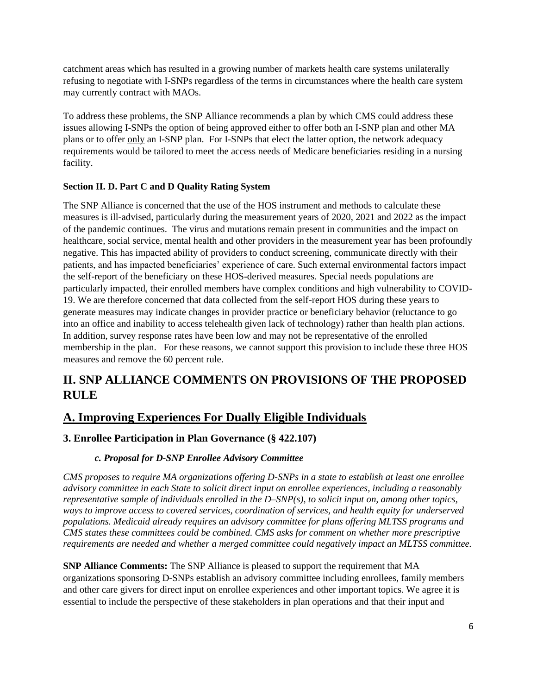catchment areas which has resulted in a growing number of markets health care systems unilaterally refusing to negotiate with I-SNPs regardless of the terms in circumstances where the health care system may currently contract with MAOs.

To address these problems, the SNP Alliance recommends a plan by which CMS could address these issues allowing I-SNPs the option of being approved either to offer both an I-SNP plan and other MA plans or to offer only an I-SNP plan. For I-SNPs that elect the latter option, the network adequacy requirements would be tailored to meet the access needs of Medicare beneficiaries residing in a nursing facility.

### **Section II. D. Part C and D Quality Rating System**

The SNP Alliance is concerned that the use of the HOS instrument and methods to calculate these measures is ill-advised, particularly during the measurement years of 2020, 2021 and 2022 as the impact of the pandemic continues. The virus and mutations remain present in communities and the impact on healthcare, social service, mental health and other providers in the measurement year has been profoundly negative. This has impacted ability of providers to conduct screening, communicate directly with their patients, and has impacted beneficiaries' experience of care. Such external environmental factors impact the self-report of the beneficiary on these HOS-derived measures. Special needs populations are particularly impacted, their enrolled members have complex conditions and high vulnerability to COVID-19. We are therefore concerned that data collected from the self-report HOS during these years to generate measures may indicate changes in provider practice or beneficiary behavior (reluctance to go into an office and inability to access telehealth given lack of technology) rather than health plan actions. In addition, survey response rates have been low and may not be representative of the enrolled membership in the plan. For these reasons, we cannot support this provision to include these three HOS measures and remove the 60 percent rule.

# **II. SNP ALLIANCE COMMENTS ON PROVISIONS OF THE PROPOSED RULE**

# **A. Improving Experiences For Dually Eligible Individuals**

## **3. Enrollee Participation in Plan Governance (§ 422.107)**

### *c. Proposal for D-SNP Enrollee Advisory Committee*

*CMS proposes to require MA organizations offering D-SNPs in a state to establish at least one enrollee advisory committee in each State to solicit direct input on enrollee experiences, including a reasonably representative sample of individuals enrolled in the D–SNP(s), to solicit input on, among other topics, ways to improve access to covered services, coordination of services, and health equity for underserved populations. Medicaid already requires an advisory committee for plans offering MLTSS programs and CMS states these committees could be combined. CMS asks for comment on whether more prescriptive requirements are needed and whether a merged committee could negatively impact an MLTSS committee.*

**SNP Alliance Comments:** The SNP Alliance is pleased to support the requirement that MA organizations sponsoring D-SNPs establish an advisory committee including enrollees, family members and other care givers for direct input on enrollee experiences and other important topics. We agree it is essential to include the perspective of these stakeholders in plan operations and that their input and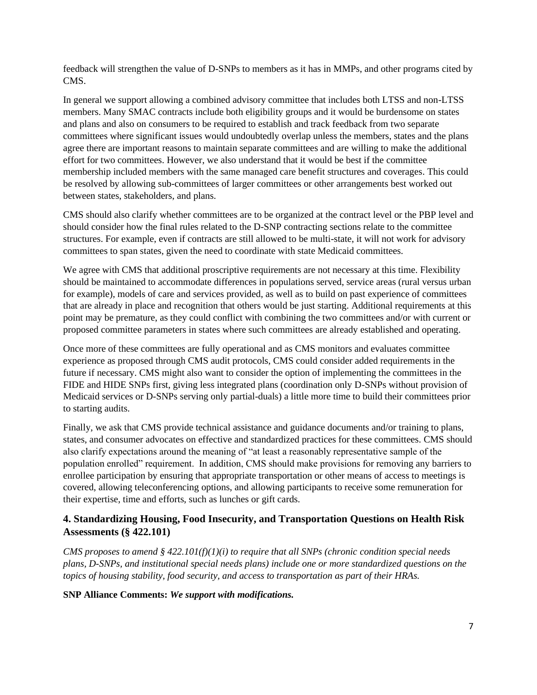feedback will strengthen the value of D-SNPs to members as it has in MMPs, and other programs cited by CMS.

In general we support allowing a combined advisory committee that includes both LTSS and non-LTSS members. Many SMAC contracts include both eligibility groups and it would be burdensome on states and plans and also on consumers to be required to establish and track feedback from two separate committees where significant issues would undoubtedly overlap unless the members, states and the plans agree there are important reasons to maintain separate committees and are willing to make the additional effort for two committees. However, we also understand that it would be best if the committee membership included members with the same managed care benefit structures and coverages. This could be resolved by allowing sub-committees of larger committees or other arrangements best worked out between states, stakeholders, and plans.

CMS should also clarify whether committees are to be organized at the contract level or the PBP level and should consider how the final rules related to the D-SNP contracting sections relate to the committee structures. For example, even if contracts are still allowed to be multi-state, it will not work for advisory committees to span states, given the need to coordinate with state Medicaid committees.

We agree with CMS that additional proscriptive requirements are not necessary at this time. Flexibility should be maintained to accommodate differences in populations served, service areas (rural versus urban for example), models of care and services provided, as well as to build on past experience of committees that are already in place and recognition that others would be just starting. Additional requirements at this point may be premature, as they could conflict with combining the two committees and/or with current or proposed committee parameters in states where such committees are already established and operating.

Once more of these committees are fully operational and as CMS monitors and evaluates committee experience as proposed through CMS audit protocols, CMS could consider added requirements in the future if necessary. CMS might also want to consider the option of implementing the committees in the FIDE and HIDE SNPs first, giving less integrated plans (coordination only D-SNPs without provision of Medicaid services or D-SNPs serving only partial-duals) a little more time to build their committees prior to starting audits.

Finally, we ask that CMS provide technical assistance and guidance documents and/or training to plans, states, and consumer advocates on effective and standardized practices for these committees. CMS should also clarify expectations around the meaning of "at least a reasonably representative sample of the population enrolled" requirement. In addition, CMS should make provisions for removing any barriers to enrollee participation by ensuring that appropriate transportation or other means of access to meetings is covered, allowing teleconferencing options, and allowing participants to receive some remuneration for their expertise, time and efforts, such as lunches or gift cards.

### **4. Standardizing Housing, Food Insecurity, and Transportation Questions on Health Risk Assessments (§ 422.101)**

*CMS proposes to amend § 422.101(f)(1)(i) to require that all SNPs (chronic condition special needs plans, D-SNPs, and institutional special needs plans) include one or more standardized questions on the topics of housing stability, food security, and access to transportation as part of their HRAs.*

**SNP Alliance Comments:** *We support with modifications.*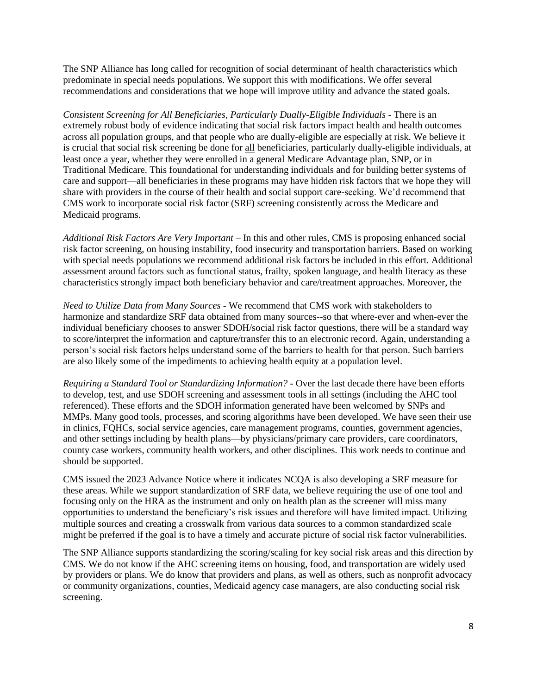The SNP Alliance has long called for recognition of social determinant of health characteristics which predominate in special needs populations. We support this with modifications. We offer several recommendations and considerations that we hope will improve utility and advance the stated goals.

*Consistent Screening for All Beneficiaries, Particularly Dually-Eligible Individuals -* There is an extremely robust body of evidence indicating that social risk factors impact health and health outcomes across all population groups, and that people who are dually-eligible are especially at risk. We believe it is crucial that social risk screening be done for all beneficiaries, particularly dually-eligible individuals, at least once a year, whether they were enrolled in a general Medicare Advantage plan, SNP, or in Traditional Medicare. This foundational for understanding individuals and for building better systems of care and support—all beneficiaries in these programs may have hidden risk factors that we hope they will share with providers in the course of their health and social support care-seeking. We'd recommend that CMS work to incorporate social risk factor (SRF) screening consistently across the Medicare and Medicaid programs.

*Additional Risk Factors Are Very Important* – In this and other rules, CMS is proposing enhanced social risk factor screening, on housing instability, food insecurity and transportation barriers. Based on working with special needs populations we recommend additional risk factors be included in this effort. Additional assessment around factors such as functional status, frailty, spoken language, and health literacy as these characteristics strongly impact both beneficiary behavior and care/treatment approaches. Moreover, the

*Need to Utilize Data from Many Sources -* We recommend that CMS work with stakeholders to harmonize and standardize SRF data obtained from many sources--so that where-ever and when-ever the individual beneficiary chooses to answer SDOH/social risk factor questions, there will be a standard way to score/interpret the information and capture/transfer this to an electronic record. Again, understanding a person's social risk factors helps understand some of the barriers to health for that person. Such barriers are also likely some of the impediments to achieving health equity at a population level.

*Requiring a Standard Tool or Standardizing Information? -* Over the last decade there have been efforts to develop, test, and use SDOH screening and assessment tools in all settings (including the AHC tool referenced). These efforts and the SDOH information generated have been welcomed by SNPs and MMPs. Many good tools, processes, and scoring algorithms have been developed. We have seen their use in clinics, FQHCs, social service agencies, care management programs, counties, government agencies, and other settings including by health plans—by physicians/primary care providers, care coordinators, county case workers, community health workers, and other disciplines. This work needs to continue and should be supported.

CMS issued the 2023 Advance Notice where it indicates NCQA is also developing a SRF measure for these areas. While we support standardization of SRF data, we believe requiring the use of one tool and focusing only on the HRA as the instrument and only on health plan as the screener will miss many opportunities to understand the beneficiary's risk issues and therefore will have limited impact. Utilizing multiple sources and creating a crosswalk from various data sources to a common standardized scale might be preferred if the goal is to have a timely and accurate picture of social risk factor vulnerabilities.

The SNP Alliance supports standardizing the scoring/scaling for key social risk areas and this direction by CMS. We do not know if the AHC screening items on housing, food, and transportation are widely used by providers or plans. We do know that providers and plans, as well as others, such as nonprofit advocacy or community organizations, counties, Medicaid agency case managers, are also conducting social risk screening.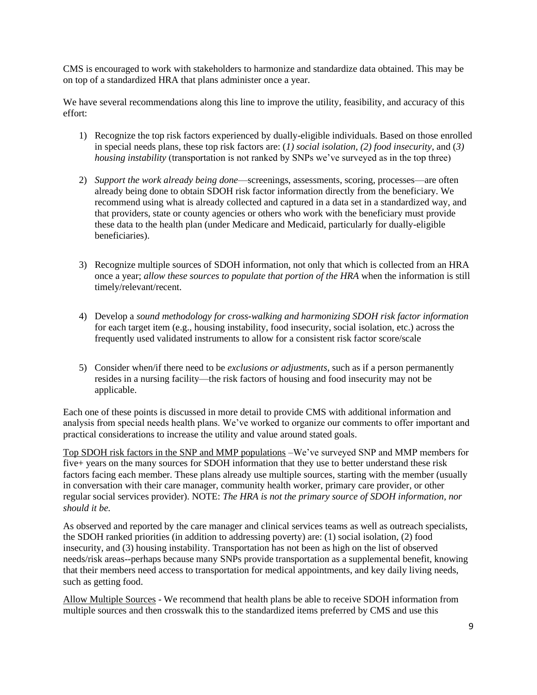CMS is encouraged to work with stakeholders to harmonize and standardize data obtained. This may be on top of a standardized HRA that plans administer once a year.

We have several recommendations along this line to improve the utility, feasibility, and accuracy of this effort:

- 1) Recognize the top risk factors experienced by dually-eligible individuals. Based on those enrolled in special needs plans, these top risk factors are: (*1) social isolation, (2) food insecurity*, and (*3) housing instability* (transportation is not ranked by SNPs we've surveyed as in the top three)
- 2) *Support the work already being done*—screenings, assessments, scoring, processes—are often already being done to obtain SDOH risk factor information directly from the beneficiary. We recommend using what is already collected and captured in a data set in a standardized way, and that providers, state or county agencies or others who work with the beneficiary must provide these data to the health plan (under Medicare and Medicaid, particularly for dually-eligible beneficiaries).
- 3) Recognize multiple sources of SDOH information, not only that which is collected from an HRA once a year; *allow these sources to populate that portion of the HRA* when the information is still timely/relevant/recent.
- 4) Develop a *sound methodology for cross-walking and harmonizing SDOH risk factor information* for each target item (e.g., housing instability, food insecurity, social isolation, etc.) across the frequently used validated instruments to allow for a consistent risk factor score/scale
- 5) Consider when/if there need to be *exclusions or adjustments*, such as if a person permanently resides in a nursing facility—the risk factors of housing and food insecurity may not be applicable.

Each one of these points is discussed in more detail to provide CMS with additional information and analysis from special needs health plans. We've worked to organize our comments to offer important and practical considerations to increase the utility and value around stated goals.

Top SDOH risk factors in the SNP and MMP populations –We've surveyed SNP and MMP members for five+ years on the many sources for SDOH information that they use to better understand these risk factors facing each member. These plans already use multiple sources, starting with the member (usually in conversation with their care manager, community health worker, primary care provider, or other regular social services provider). NOTE: *The HRA is not the primary source of SDOH information, nor should it be.*

As observed and reported by the care manager and clinical services teams as well as outreach specialists, the SDOH ranked priorities (in addition to addressing poverty) are: (1) social isolation, (2) food insecurity, and (3) housing instability. Transportation has not been as high on the list of observed needs/risk areas--perhaps because many SNPs provide transportation as a supplemental benefit, knowing that their members need access to transportation for medical appointments, and key daily living needs, such as getting food.

Allow Multiple Sources - We recommend that health plans be able to receive SDOH information from multiple sources and then crosswalk this to the standardized items preferred by CMS and use this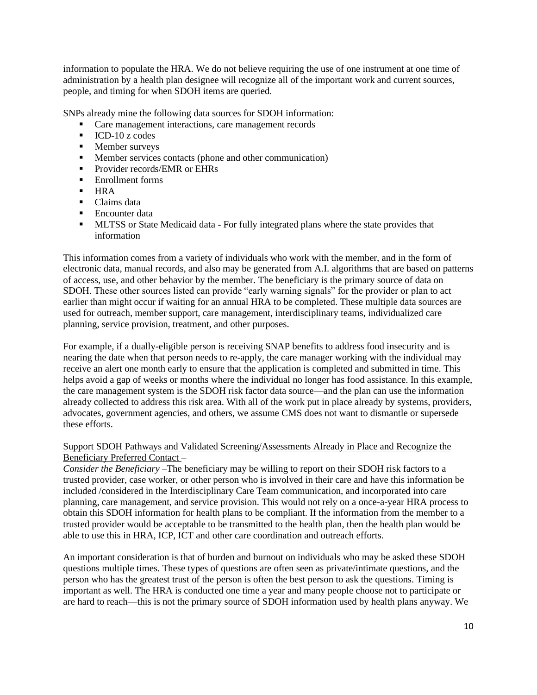information to populate the HRA. We do not believe requiring the use of one instrument at one time of administration by a health plan designee will recognize all of the important work and current sources, people, and timing for when SDOH items are queried.

SNPs already mine the following data sources for SDOH information:

- Care management interactions, care management records
- ICD-10 z codes
- Member surveys
- Member services contacts (phone and other communication)
- **•** Provider records/EMR or EHRs
- Enrollment forms
- HRA
- Claims data
- Encounter data
- **■** MLTSS or State Medicaid data For fully integrated plans where the state provides that information

This information comes from a variety of individuals who work with the member, and in the form of electronic data, manual records, and also may be generated from A.I. algorithms that are based on patterns of access, use, and other behavior by the member. The beneficiary is the primary source of data on SDOH. These other sources listed can provide "early warning signals" for the provider or plan to act earlier than might occur if waiting for an annual HRA to be completed. These multiple data sources are used for outreach, member support, care management, interdisciplinary teams, individualized care planning, service provision, treatment, and other purposes.

For example, if a dually-eligible person is receiving SNAP benefits to address food insecurity and is nearing the date when that person needs to re-apply, the care manager working with the individual may receive an alert one month early to ensure that the application is completed and submitted in time. This helps avoid a gap of weeks or months where the individual no longer has food assistance. In this example, the care management system is the SDOH risk factor data source—and the plan can use the information already collected to address this risk area. With all of the work put in place already by systems, providers, advocates, government agencies, and others, we assume CMS does not want to dismantle or supersede these efforts.

### Support SDOH Pathways and Validated Screening/Assessments Already in Place and Recognize the Beneficiary Preferred Contact –

*Consider the Beneficiary –*The beneficiary may be willing to report on their SDOH risk factors to a trusted provider, case worker, or other person who is involved in their care and have this information be included /considered in the Interdisciplinary Care Team communication, and incorporated into care planning, care management, and service provision. This would not rely on a once-a-year HRA process to obtain this SDOH information for health plans to be compliant. If the information from the member to a trusted provider would be acceptable to be transmitted to the health plan, then the health plan would be able to use this in HRA, ICP, ICT and other care coordination and outreach efforts.

An important consideration is that of burden and burnout on individuals who may be asked these SDOH questions multiple times. These types of questions are often seen as private/intimate questions, and the person who has the greatest trust of the person is often the best person to ask the questions. Timing is important as well. The HRA is conducted one time a year and many people choose not to participate or are hard to reach—this is not the primary source of SDOH information used by health plans anyway. We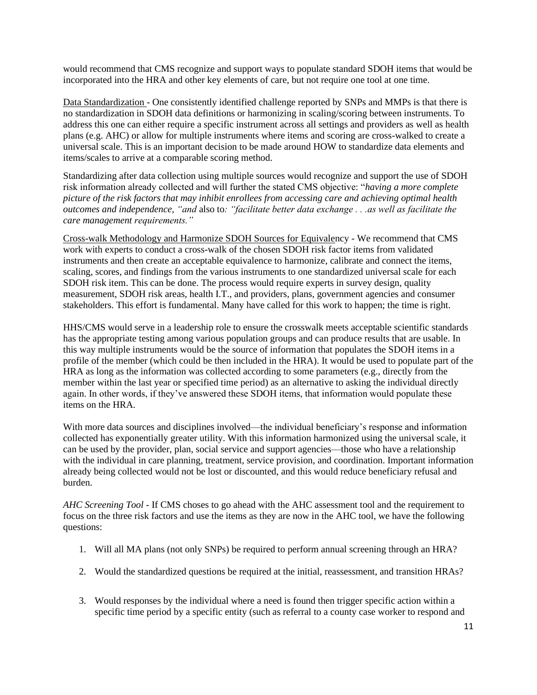would recommend that CMS recognize and support ways to populate standard SDOH items that would be incorporated into the HRA and other key elements of care, but not require one tool at one time.

Data Standardization - One consistently identified challenge reported by SNPs and MMPs is that there is no standardization in SDOH data definitions or harmonizing in scaling/scoring between instruments. To address this one can either require a specific instrument across all settings and providers as well as health plans (e.g. AHC) or allow for multiple instruments where items and scoring are cross-walked to create a universal scale. This is an important decision to be made around HOW to standardize data elements and items/scales to arrive at a comparable scoring method.

Standardizing after data collection using multiple sources would recognize and support the use of SDOH risk information already collected and will further the stated CMS objective: "*having a more complete picture of the risk factors that may inhibit enrollees from accessing care and achieving optimal health outcomes and independence, "and* also to*: "facilitate better data exchange . . .as well as facilitate the care management requirements."*

Cross-walk Methodology and Harmonize SDOH Sources for Equivalency - We recommend that CMS work with experts to conduct a cross-walk of the chosen SDOH risk factor items from validated instruments and then create an acceptable equivalence to harmonize, calibrate and connect the items, scaling, scores, and findings from the various instruments to one standardized universal scale for each SDOH risk item. This can be done. The process would require experts in survey design, quality measurement, SDOH risk areas, health I.T., and providers, plans, government agencies and consumer stakeholders. This effort is fundamental. Many have called for this work to happen; the time is right.

HHS/CMS would serve in a leadership role to ensure the crosswalk meets acceptable scientific standards has the appropriate testing among various population groups and can produce results that are usable. In this way multiple instruments would be the source of information that populates the SDOH items in a profile of the member (which could be then included in the HRA). It would be used to populate part of the HRA as long as the information was collected according to some parameters (e.g., directly from the member within the last year or specified time period) as an alternative to asking the individual directly again. In other words, if they've answered these SDOH items, that information would populate these items on the HRA.

With more data sources and disciplines involved—the individual beneficiary's response and information collected has exponentially greater utility. With this information harmonized using the universal scale, it can be used by the provider, plan, social service and support agencies—those who have a relationship with the individual in care planning, treatment, service provision, and coordination. Important information already being collected would not be lost or discounted, and this would reduce beneficiary refusal and burden.

*AHC Screening Tool -* If CMS choses to go ahead with the AHC assessment tool and the requirement to focus on the three risk factors and use the items as they are now in the AHC tool, we have the following questions:

- 1. Will all MA plans (not only SNPs) be required to perform annual screening through an HRA?
- 2. Would the standardized questions be required at the initial, reassessment, and transition HRAs?
- 3. Would responses by the individual where a need is found then trigger specific action within a specific time period by a specific entity (such as referral to a county case worker to respond and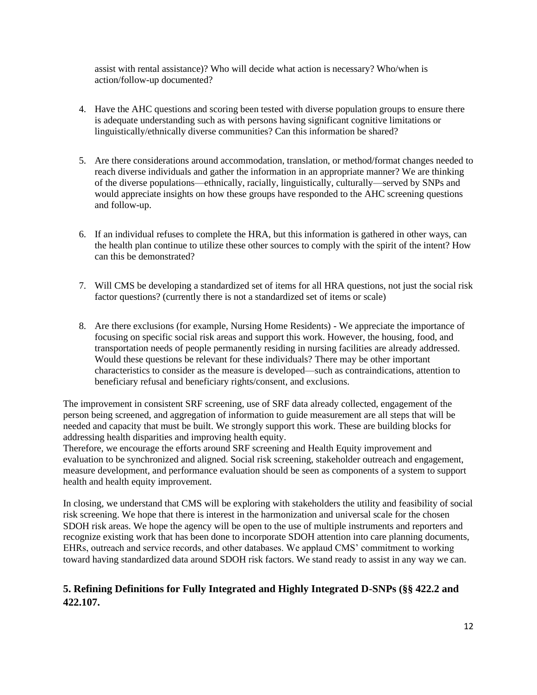assist with rental assistance)? Who will decide what action is necessary? Who/when is action/follow-up documented?

- 4. Have the AHC questions and scoring been tested with diverse population groups to ensure there is adequate understanding such as with persons having significant cognitive limitations or linguistically/ethnically diverse communities? Can this information be shared?
- 5. Are there considerations around accommodation, translation, or method/format changes needed to reach diverse individuals and gather the information in an appropriate manner? We are thinking of the diverse populations—ethnically, racially, linguistically, culturally—served by SNPs and would appreciate insights on how these groups have responded to the AHC screening questions and follow-up.
- 6. If an individual refuses to complete the HRA, but this information is gathered in other ways, can the health plan continue to utilize these other sources to comply with the spirit of the intent? How can this be demonstrated?
- 7. Will CMS be developing a standardized set of items for all HRA questions, not just the social risk factor questions? (currently there is not a standardized set of items or scale)
- 8. Are there exclusions (for example, Nursing Home Residents) We appreciate the importance of focusing on specific social risk areas and support this work. However, the housing, food, and transportation needs of people permanently residing in nursing facilities are already addressed. Would these questions be relevant for these individuals? There may be other important characteristics to consider as the measure is developed—such as contraindications, attention to beneficiary refusal and beneficiary rights/consent, and exclusions.

The improvement in consistent SRF screening, use of SRF data already collected, engagement of the person being screened, and aggregation of information to guide measurement are all steps that will be needed and capacity that must be built. We strongly support this work. These are building blocks for addressing health disparities and improving health equity.

Therefore, we encourage the efforts around SRF screening and Health Equity improvement and evaluation to be synchronized and aligned. Social risk screening, stakeholder outreach and engagement, measure development, and performance evaluation should be seen as components of a system to support health and health equity improvement.

In closing, we understand that CMS will be exploring with stakeholders the utility and feasibility of social risk screening. We hope that there is interest in the harmonization and universal scale for the chosen SDOH risk areas. We hope the agency will be open to the use of multiple instruments and reporters and recognize existing work that has been done to incorporate SDOH attention into care planning documents, EHRs, outreach and service records, and other databases. We applaud CMS' commitment to working toward having standardized data around SDOH risk factors. We stand ready to assist in any way we can.

## **5. Refining Definitions for Fully Integrated and Highly Integrated D-SNPs (§§ 422.2 and 422.107.**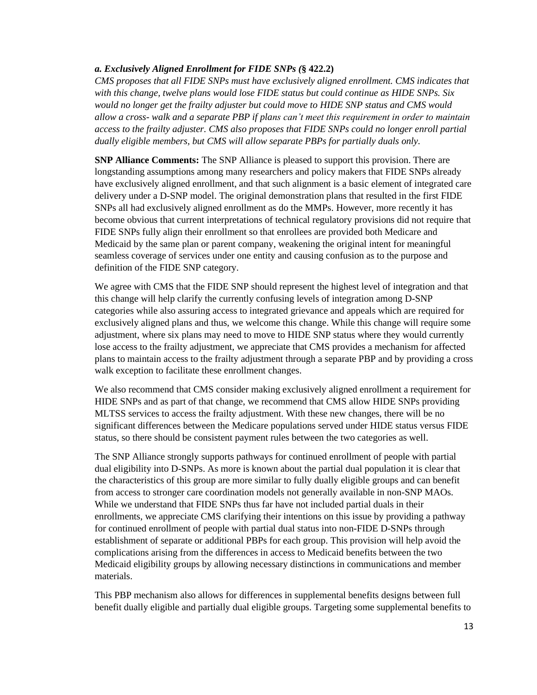#### *a. Exclusively Aligned Enrollment for FIDE SNPs (***§ 422.2)**

*CMS proposes that all FIDE SNPs must have exclusively aligned enrollment. CMS indicates that with this change, twelve plans would lose FIDE status but could continue as HIDE SNPs. Six would no longer get the frailty adjuster but could move to HIDE SNP status and CMS would allow a cross- walk and a separate PBP if plans can't meet this requirement in order to maintain access to the frailty adjuster. CMS also proposes that FIDE SNPs could no longer enroll partial dually eligible members, but CMS will allow separate PBPs for partially duals only.* 

**SNP Alliance Comments:** The SNP Alliance is pleased to support this provision. There are longstanding assumptions among many researchers and policy makers that FIDE SNPs already have exclusively aligned enrollment, and that such alignment is a basic element of integrated care delivery under a D-SNP model. The original demonstration plans that resulted in the first FIDE SNPs all had exclusively aligned enrollment as do the MMPs. However, more recently it has become obvious that current interpretations of technical regulatory provisions did not require that FIDE SNPs fully align their enrollment so that enrollees are provided both Medicare and Medicaid by the same plan or parent company, weakening the original intent for meaningful seamless coverage of services under one entity and causing confusion as to the purpose and definition of the FIDE SNP category.

We agree with CMS that the FIDE SNP should represent the highest level of integration and that this change will help clarify the currently confusing levels of integration among D-SNP categories while also assuring access to integrated grievance and appeals which are required for exclusively aligned plans and thus, we welcome this change. While this change will require some adjustment, where six plans may need to move to HIDE SNP status where they would currently lose access to the frailty adjustment, we appreciate that CMS provides a mechanism for affected plans to maintain access to the frailty adjustment through a separate PBP and by providing a cross walk exception to facilitate these enrollment changes.

We also recommend that CMS consider making exclusively aligned enrollment a requirement for HIDE SNPs and as part of that change, we recommend that CMS allow HIDE SNPs providing MLTSS services to access the frailty adjustment. With these new changes, there will be no significant differences between the Medicare populations served under HIDE status versus FIDE status, so there should be consistent payment rules between the two categories as well.

The SNP Alliance strongly supports pathways for continued enrollment of people with partial dual eligibility into D-SNPs. As more is known about the partial dual population it is clear that the characteristics of this group are more similar to fully dually eligible groups and can benefit from access to stronger care coordination models not generally available in non-SNP MAOs. While we understand that FIDE SNPs thus far have not included partial duals in their enrollments, we appreciate CMS clarifying their intentions on this issue by providing a pathway for continued enrollment of people with partial dual status into non-FIDE D-SNPs through establishment of separate or additional PBPs for each group. This provision will help avoid the complications arising from the differences in access to Medicaid benefits between the two Medicaid eligibility groups by allowing necessary distinctions in communications and member materials.

This PBP mechanism also allows for differences in supplemental benefits designs between full benefit dually eligible and partially dual eligible groups. Targeting some supplemental benefits to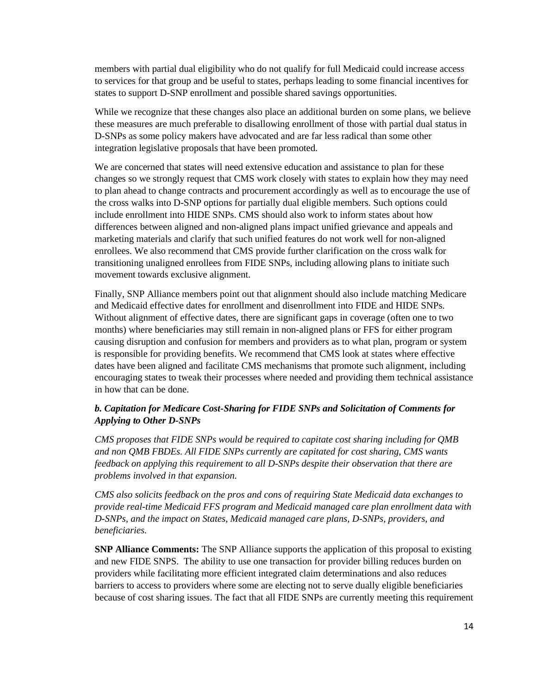members with partial dual eligibility who do not qualify for full Medicaid could increase access to services for that group and be useful to states, perhaps leading to some financial incentives for states to support D-SNP enrollment and possible shared savings opportunities.

While we recognize that these changes also place an additional burden on some plans, we believe these measures are much preferable to disallowing enrollment of those with partial dual status in D-SNPs as some policy makers have advocated and are far less radical than some other integration legislative proposals that have been promoted.

We are concerned that states will need extensive education and assistance to plan for these changes so we strongly request that CMS work closely with states to explain how they may need to plan ahead to change contracts and procurement accordingly as well as to encourage the use of the cross walks into D-SNP options for partially dual eligible members. Such options could include enrollment into HIDE SNPs. CMS should also work to inform states about how differences between aligned and non-aligned plans impact unified grievance and appeals and marketing materials and clarify that such unified features do not work well for non-aligned enrollees. We also recommend that CMS provide further clarification on the cross walk for transitioning unaligned enrollees from FIDE SNPs, including allowing plans to initiate such movement towards exclusive alignment.

Finally, SNP Alliance members point out that alignment should also include matching Medicare and Medicaid effective dates for enrollment and disenrollment into FIDE and HIDE SNPs. Without alignment of effective dates, there are significant gaps in coverage (often one to two months) where beneficiaries may still remain in non-aligned plans or FFS for either program causing disruption and confusion for members and providers as to what plan, program or system is responsible for providing benefits. We recommend that CMS look at states where effective dates have been aligned and facilitate CMS mechanisms that promote such alignment, including encouraging states to tweak their processes where needed and providing them technical assistance in how that can be done.

### *b. Capitation for Medicare Cost-Sharing for FIDE SNPs and Solicitation of Comments for Applying to Other D-SNPs*

*CMS proposes that FIDE SNPs would be required to capitate cost sharing including for QMB and non QMB FBDEs. All FIDE SNPs currently are capitated for cost sharing, CMS wants feedback on applying this requirement to all D-SNPs despite their observation that there are problems involved in that expansion.*

*CMS also solicits feedback on the pros and cons of requiring State Medicaid data exchanges to provide real-time Medicaid FFS program and Medicaid managed care plan enrollment data with D-SNPs, and the impact on States, Medicaid managed care plans, D-SNPs, providers, and beneficiaries.*

**SNP Alliance Comments:** The SNP Alliance supports the application of this proposal to existing and new FIDE SNPS. The ability to use one transaction for provider billing reduces burden on providers while facilitating more efficient integrated claim determinations and also reduces barriers to access to providers where some are electing not to serve dually eligible beneficiaries because of cost sharing issues. The fact that all FIDE SNPs are currently meeting this requirement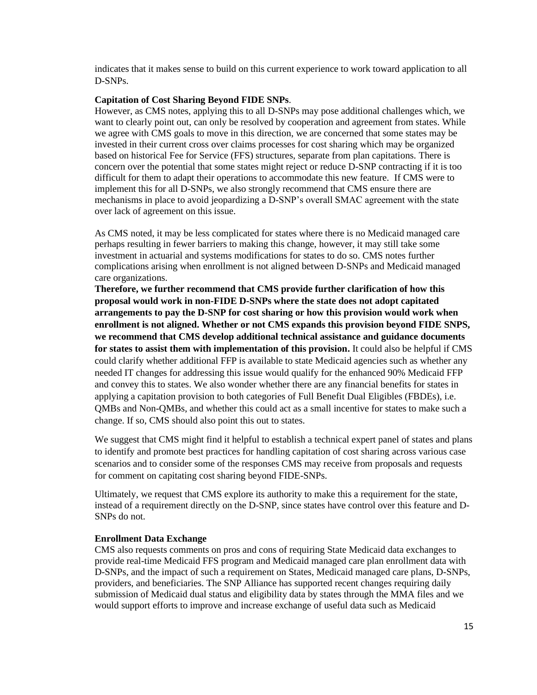indicates that it makes sense to build on this current experience to work toward application to all D-SNPs.

#### **Capitation of Cost Sharing Beyond FIDE SNPs**.

However, as CMS notes, applying this to all D-SNPs may pose additional challenges which, we want to clearly point out, can only be resolved by cooperation and agreement from states. While we agree with CMS goals to move in this direction, we are concerned that some states may be invested in their current cross over claims processes for cost sharing which may be organized based on historical Fee for Service (FFS) structures, separate from plan capitations. There is concern over the potential that some states might reject or reduce D-SNP contracting if it is too difficult for them to adapt their operations to accommodate this new feature. If CMS were to implement this for all D-SNPs, we also strongly recommend that CMS ensure there are mechanisms in place to avoid jeopardizing a D-SNP's overall SMAC agreement with the state over lack of agreement on this issue.

As CMS noted, it may be less complicated for states where there is no Medicaid managed care perhaps resulting in fewer barriers to making this change, however, it may still take some investment in actuarial and systems modifications for states to do so. CMS notes further complications arising when enrollment is not aligned between D-SNPs and Medicaid managed care organizations.

**Therefore, we further recommend that CMS provide further clarification of how this proposal would work in non-FIDE D-SNPs where the state does not adopt capitated arrangements to pay the D-SNP for cost sharing or how this provision would work when enrollment is not aligned. Whether or not CMS expands this provision beyond FIDE SNPS, we recommend that CMS develop additional technical assistance and guidance documents for states to assist them with implementation of this provision.** It could also be helpful if CMS could clarify whether additional FFP is available to state Medicaid agencies such as whether any needed IT changes for addressing this issue would qualify for the enhanced 90% Medicaid FFP and convey this to states. We also wonder whether there are any financial benefits for states in applying a capitation provision to both categories of Full Benefit Dual Eligibles (FBDEs), i.e. QMBs and Non-QMBs, and whether this could act as a small incentive for states to make such a change. If so, CMS should also point this out to states.

We suggest that CMS might find it helpful to establish a technical expert panel of states and plans to identify and promote best practices for handling capitation of cost sharing across various case scenarios and to consider some of the responses CMS may receive from proposals and requests for comment on capitating cost sharing beyond FIDE-SNPs.

Ultimately, we request that CMS explore its authority to make this a requirement for the state, instead of a requirement directly on the D-SNP, since states have control over this feature and D-SNPs do not.

#### **Enrollment Data Exchange**

CMS also requests comments on pros and cons of requiring State Medicaid data exchanges to provide real-time Medicaid FFS program and Medicaid managed care plan enrollment data with D-SNPs, and the impact of such a requirement on States, Medicaid managed care plans, D-SNPs, providers, and beneficiaries. The SNP Alliance has supported recent changes requiring daily submission of Medicaid dual status and eligibility data by states through the MMA files and we would support efforts to improve and increase exchange of useful data such as Medicaid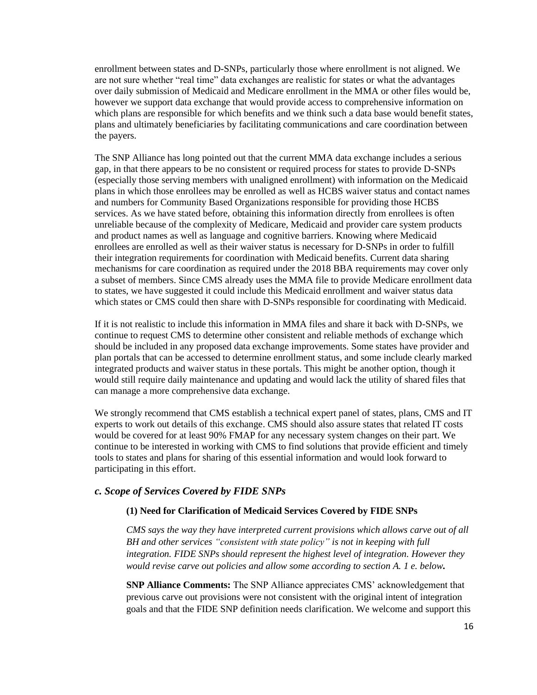enrollment between states and D-SNPs, particularly those where enrollment is not aligned. We are not sure whether "real time" data exchanges are realistic for states or what the advantages over daily submission of Medicaid and Medicare enrollment in the MMA or other files would be, however we support data exchange that would provide access to comprehensive information on which plans are responsible for which benefits and we think such a data base would benefit states, plans and ultimately beneficiaries by facilitating communications and care coordination between the payers.

The SNP Alliance has long pointed out that the current MMA data exchange includes a serious gap, in that there appears to be no consistent or required process for states to provide D-SNPs (especially those serving members with unaligned enrollment) with information on the Medicaid plans in which those enrollees may be enrolled as well as HCBS waiver status and contact names and numbers for Community Based Organizations responsible for providing those HCBS services. As we have stated before, obtaining this information directly from enrollees is often unreliable because of the complexity of Medicare, Medicaid and provider care system products and product names as well as language and cognitive barriers. Knowing where Medicaid enrollees are enrolled as well as their waiver status is necessary for D-SNPs in order to fulfill their integration requirements for coordination with Medicaid benefits. Current data sharing mechanisms for care coordination as required under the 2018 BBA requirements may cover only a subset of members. Since CMS already uses the MMA file to provide Medicare enrollment data to states, we have suggested it could include this Medicaid enrollment and waiver status data which states or CMS could then share with D-SNPs responsible for coordinating with Medicaid.

If it is not realistic to include this information in MMA files and share it back with D-SNPs, we continue to request CMS to determine other consistent and reliable methods of exchange which should be included in any proposed data exchange improvements. Some states have provider and plan portals that can be accessed to determine enrollment status, and some include clearly marked integrated products and waiver status in these portals. This might be another option, though it would still require daily maintenance and updating and would lack the utility of shared files that can manage a more comprehensive data exchange.

We strongly recommend that CMS establish a technical expert panel of states, plans, CMS and IT experts to work out details of this exchange. CMS should also assure states that related IT costs would be covered for at least 90% FMAP for any necessary system changes on their part. We continue to be interested in working with CMS to find solutions that provide efficient and timely tools to states and plans for sharing of this essential information and would look forward to participating in this effort.

#### *c. Scope of Services Covered by FIDE SNPs*

#### **(1) Need for Clarification of Medicaid Services Covered by FIDE SNPs**

*CMS says the way they have interpreted current provisions which allows carve out of all BH and other services "consistent with state policy" is not in keeping with full integration. FIDE SNPs should represent the highest level of integration. However they would revise carve out policies and allow some according to section A. 1 e. below.*

**SNP Alliance Comments:** The SNP Alliance appreciates CMS' acknowledgement that previous carve out provisions were not consistent with the original intent of integration goals and that the FIDE SNP definition needs clarification. We welcome and support this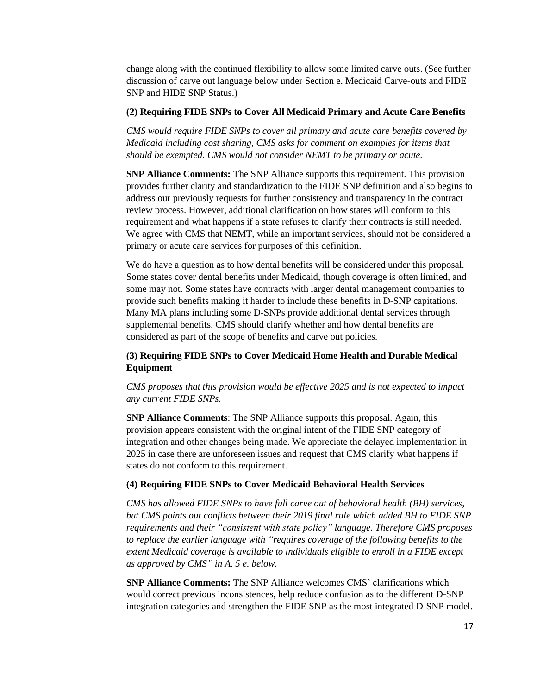change along with the continued flexibility to allow some limited carve outs. (See further discussion of carve out language below under Section e. Medicaid Carve-outs and FIDE SNP and HIDE SNP Status.)

#### **(2) Requiring FIDE SNPs to Cover All Medicaid Primary and Acute Care Benefits**

*CMS would require FIDE SNPs to cover all primary and acute care benefits covered by Medicaid including cost sharing, CMS asks for comment on examples for items that should be exempted. CMS would not consider NEMT to be primary or acute.*

**SNP Alliance Comments:** The SNP Alliance supports this requirement. This provision provides further clarity and standardization to the FIDE SNP definition and also begins to address our previously requests for further consistency and transparency in the contract review process. However, additional clarification on how states will conform to this requirement and what happens if a state refuses to clarify their contracts is still needed. We agree with CMS that NEMT, while an important services, should not be considered a primary or acute care services for purposes of this definition.

We do have a question as to how dental benefits will be considered under this proposal. Some states cover dental benefits under Medicaid, though coverage is often limited, and some may not. Some states have contracts with larger dental management companies to provide such benefits making it harder to include these benefits in D-SNP capitations. Many MA plans including some D-SNPs provide additional dental services through supplemental benefits. CMS should clarify whether and how dental benefits are considered as part of the scope of benefits and carve out policies.

### **(3) Requiring FIDE SNPs to Cover Medicaid Home Health and Durable Medical Equipment**

*CMS proposes that this provision would be effective 2025 and is not expected to impact any current FIDE SNPs.*

**SNP Alliance Comments**: The SNP Alliance supports this proposal. Again, this provision appears consistent with the original intent of the FIDE SNP category of integration and other changes being made. We appreciate the delayed implementation in 2025 in case there are unforeseen issues and request that CMS clarify what happens if states do not conform to this requirement.

#### **(4) Requiring FIDE SNPs to Cover Medicaid Behavioral Health Services**

*CMS has allowed FIDE SNPs to have full carve out of behavioral health (BH) services, but CMS points out conflicts between their 2019 final rule which added BH to FIDE SNP requirements and their "consistent with state policy" language. Therefore CMS proposes to replace the earlier language with "requires coverage of the following benefits to the extent Medicaid coverage is available to individuals eligible to enroll in a FIDE except as approved by CMS" in A. 5 e. below.*

**SNP Alliance Comments:** The SNP Alliance welcomes CMS' clarifications which would correct previous inconsistences, help reduce confusion as to the different D-SNP integration categories and strengthen the FIDE SNP as the most integrated D-SNP model.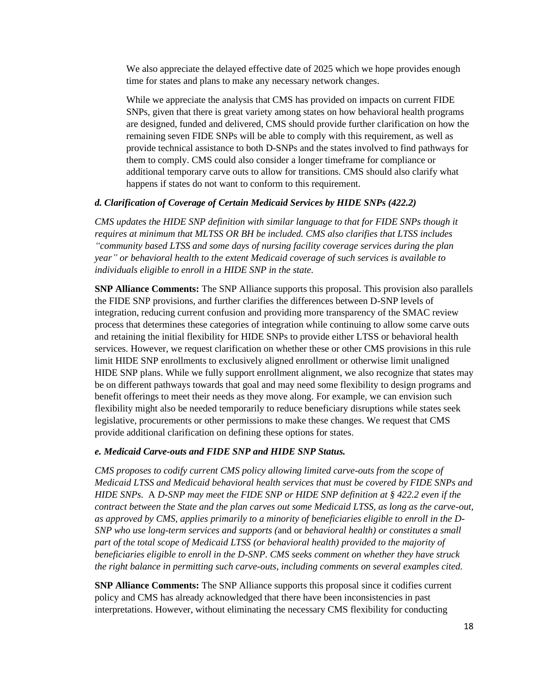We also appreciate the delayed effective date of 2025 which we hope provides enough time for states and plans to make any necessary network changes.

While we appreciate the analysis that CMS has provided on impacts on current FIDE SNPs, given that there is great variety among states on how behavioral health programs are designed, funded and delivered, CMS should provide further clarification on how the remaining seven FIDE SNPs will be able to comply with this requirement, as well as provide technical assistance to both D-SNPs and the states involved to find pathways for them to comply. CMS could also consider a longer timeframe for compliance or additional temporary carve outs to allow for transitions. CMS should also clarify what happens if states do not want to conform to this requirement.

### *d. Clarification of Coverage of Certain Medicaid Services by HIDE SNPs (422.2)*

*CMS updates the HIDE SNP definition with similar language to that for FIDE SNPs though it requires at minimum that MLTSS OR BH be included. CMS also clarifies that LTSS includes "community based LTSS and some days of nursing facility coverage services during the plan year" or behavioral health to the extent Medicaid coverage of such services is available to individuals eligible to enroll in a HIDE SNP in the state.*

**SNP Alliance Comments:** The SNP Alliance supports this proposal. This provision also parallels the FIDE SNP provisions, and further clarifies the differences between D-SNP levels of integration, reducing current confusion and providing more transparency of the SMAC review process that determines these categories of integration while continuing to allow some carve outs and retaining the initial flexibility for HIDE SNPs to provide either LTSS or behavioral health services. However, we request clarification on whether these or other CMS provisions in this rule limit HIDE SNP enrollments to exclusively aligned enrollment or otherwise limit unaligned HIDE SNP plans. While we fully support enrollment alignment, we also recognize that states may be on different pathways towards that goal and may need some flexibility to design programs and benefit offerings to meet their needs as they move along. For example, we can envision such flexibility might also be needed temporarily to reduce beneficiary disruptions while states seek legislative, procurements or other permissions to make these changes. We request that CMS provide additional clarification on defining these options for states.

#### *e. Medicaid Carve-outs and FIDE SNP and HIDE SNP Status.*

*CMS proposes to codify current CMS policy allowing limited carve-outs from the scope of Medicaid LTSS and Medicaid behavioral health services that must be covered by FIDE SNPs and HIDE SNPs.* A *D-SNP may meet the FIDE SNP or HIDE SNP definition at § 422.2 even if the contract between the State and the plan carves out some Medicaid LTSS, as long as the carve-out, as approved by CMS, applies primarily to a minority of beneficiaries eligible to enroll in the D-SNP who use long-term services and supports (*and or *behavioral health) or constitutes a small part of the total scope of Medicaid LTSS (or behavioral health) provided to the majority of beneficiaries eligible to enroll in the D-SNP. CMS seeks comment on whether they have struck the right balance in permitting such carve-outs, including comments on several examples cited.*

**SNP Alliance Comments:** The SNP Alliance supports this proposal since it codifies current policy and CMS has already acknowledged that there have been inconsistencies in past interpretations. However, without eliminating the necessary CMS flexibility for conducting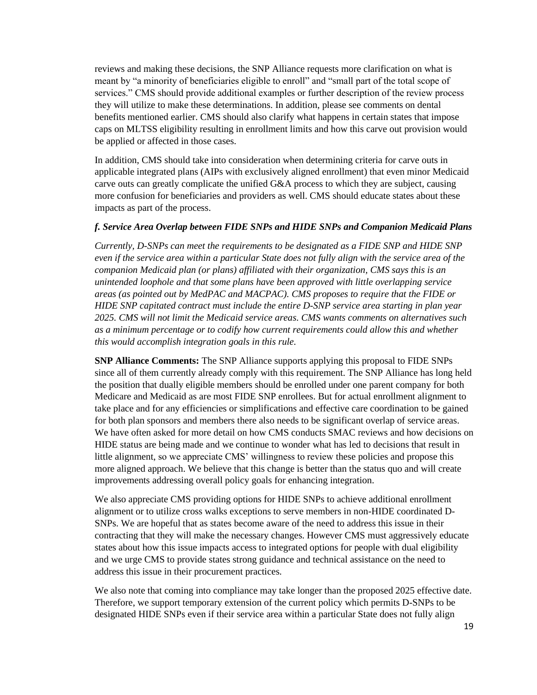reviews and making these decisions, the SNP Alliance requests more clarification on what is meant by "a minority of beneficiaries eligible to enroll" and "small part of the total scope of services." CMS should provide additional examples or further description of the review process they will utilize to make these determinations. In addition, please see comments on dental benefits mentioned earlier. CMS should also clarify what happens in certain states that impose caps on MLTSS eligibility resulting in enrollment limits and how this carve out provision would be applied or affected in those cases.

In addition, CMS should take into consideration when determining criteria for carve outs in applicable integrated plans (AIPs with exclusively aligned enrollment) that even minor Medicaid carve outs can greatly complicate the unified G&A process to which they are subject, causing more confusion for beneficiaries and providers as well. CMS should educate states about these impacts as part of the process.

#### *f. Service Area Overlap between FIDE SNPs and HIDE SNPs and Companion Medicaid Plans*

*Currently, D-SNPs can meet the requirements to be designated as a FIDE SNP and HIDE SNP even if the service area within a particular State does not fully align with the service area of the companion Medicaid plan (or plans) affiliated with their organization, CMS says this is an unintended loophole and that some plans have been approved with little overlapping service areas (as pointed out by MedPAC and MACPAC). CMS proposes to require that the FIDE or HIDE SNP capitated contract must include the entire D-SNP service area starting in plan year 2025. CMS will not limit the Medicaid service areas. CMS wants comments on alternatives such as a minimum percentage or to codify how current requirements could allow this and whether this would accomplish integration goals in this rule.* 

**SNP Alliance Comments:** The SNP Alliance supports applying this proposal to FIDE SNPs since all of them currently already comply with this requirement. The SNP Alliance has long held the position that dually eligible members should be enrolled under one parent company for both Medicare and Medicaid as are most FIDE SNP enrollees. But for actual enrollment alignment to take place and for any efficiencies or simplifications and effective care coordination to be gained for both plan sponsors and members there also needs to be significant overlap of service areas. We have often asked for more detail on how CMS conducts SMAC reviews and how decisions on HIDE status are being made and we continue to wonder what has led to decisions that result in little alignment, so we appreciate CMS' willingness to review these policies and propose this more aligned approach. We believe that this change is better than the status quo and will create improvements addressing overall policy goals for enhancing integration.

We also appreciate CMS providing options for HIDE SNPs to achieve additional enrollment alignment or to utilize cross walks exceptions to serve members in non-HIDE coordinated D-SNPs. We are hopeful that as states become aware of the need to address this issue in their contracting that they will make the necessary changes. However CMS must aggressively educate states about how this issue impacts access to integrated options for people with dual eligibility and we urge CMS to provide states strong guidance and technical assistance on the need to address this issue in their procurement practices.

We also note that coming into compliance may take longer than the proposed 2025 effective date. Therefore, we support temporary extension of the current policy which permits D-SNPs to be designated HIDE SNPs even if their service area within a particular State does not fully align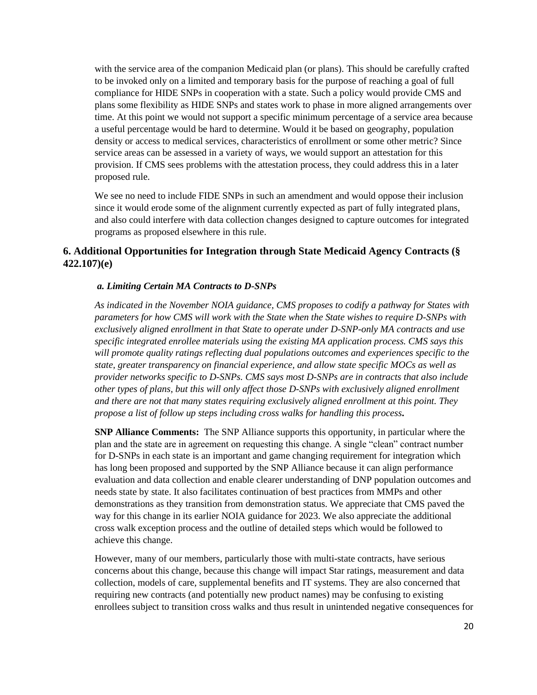with the service area of the companion Medicaid plan (or plans). This should be carefully crafted to be invoked only on a limited and temporary basis for the purpose of reaching a goal of full compliance for HIDE SNPs in cooperation with a state. Such a policy would provide CMS and plans some flexibility as HIDE SNPs and states work to phase in more aligned arrangements over time. At this point we would not support a specific minimum percentage of a service area because a useful percentage would be hard to determine. Would it be based on geography, population density or access to medical services, characteristics of enrollment or some other metric? Since service areas can be assessed in a variety of ways, we would support an attestation for this provision. If CMS sees problems with the attestation process, they could address this in a later proposed rule.

We see no need to include FIDE SNPs in such an amendment and would oppose their inclusion since it would erode some of the alignment currently expected as part of fully integrated plans, and also could interfere with data collection changes designed to capture outcomes for integrated programs as proposed elsewhere in this rule.

### **6. Additional Opportunities for Integration through State Medicaid Agency Contracts (§ 422.107)(e)**

### *a. Limiting Certain MA Contracts to D-SNPs*

*As indicated in the November NOIA guidance, CMS proposes to codify a pathway for States with parameters for how CMS will work with the State when the State wishes to require D-SNPs with exclusively aligned enrollment in that State to operate under D-SNP-only MA contracts and use specific integrated enrollee materials using the existing MA application process. CMS says this will promote quality ratings reflecting dual populations outcomes and experiences specific to the state, greater transparency on financial experience, and allow state specific MOCs as well as provider networks specific to D-SNPs. CMS says most D-SNPs are in contracts that also include other types of plans, but this will only affect those D-SNPs with exclusively aligned enrollment and there are not that many states requiring exclusively aligned enrollment at this point. They propose a list of follow up steps including cross walks for handling this process.* 

**SNP Alliance Comments:** The SNP Alliance supports this opportunity, in particular where the plan and the state are in agreement on requesting this change. A single "clean" contract number for D-SNPs in each state is an important and game changing requirement for integration which has long been proposed and supported by the SNP Alliance because it can align performance evaluation and data collection and enable clearer understanding of DNP population outcomes and needs state by state. It also facilitates continuation of best practices from MMPs and other demonstrations as they transition from demonstration status. We appreciate that CMS paved the way for this change in its earlier NOIA guidance for 2023. We also appreciate the additional cross walk exception process and the outline of detailed steps which would be followed to achieve this change.

However, many of our members, particularly those with multi-state contracts, have serious concerns about this change, because this change will impact Star ratings, measurement and data collection, models of care, supplemental benefits and IT systems. They are also concerned that requiring new contracts (and potentially new product names) may be confusing to existing enrollees subject to transition cross walks and thus result in unintended negative consequences for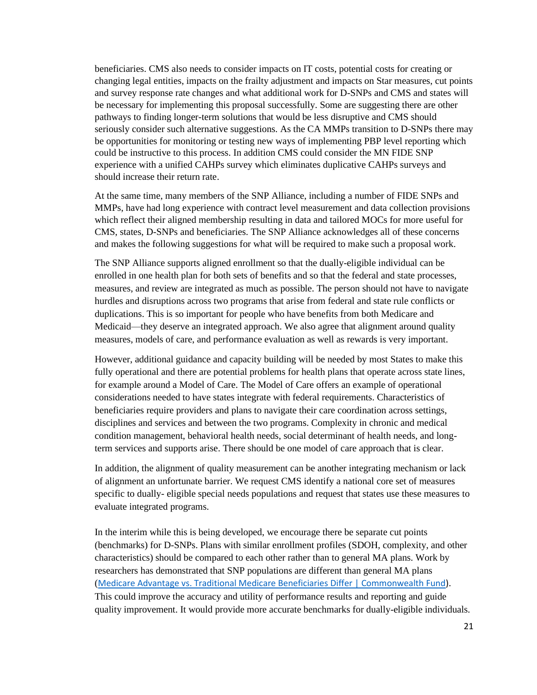beneficiaries. CMS also needs to consider impacts on IT costs, potential costs for creating or changing legal entities, impacts on the frailty adjustment and impacts on Star measures, cut points and survey response rate changes and what additional work for D-SNPs and CMS and states will be necessary for implementing this proposal successfully. Some are suggesting there are other pathways to finding longer-term solutions that would be less disruptive and CMS should seriously consider such alternative suggestions. As the CA MMPs transition to D-SNPs there may be opportunities for monitoring or testing new ways of implementing PBP level reporting which could be instructive to this process. In addition CMS could consider the MN FIDE SNP experience with a unified CAHPs survey which eliminates duplicative CAHPs surveys and should increase their return rate.

At the same time, many members of the SNP Alliance, including a number of FIDE SNPs and MMPs, have had long experience with contract level measurement and data collection provisions which reflect their aligned membership resulting in data and tailored MOCs for more useful for CMS, states, D-SNPs and beneficiaries. The SNP Alliance acknowledges all of these concerns and makes the following suggestions for what will be required to make such a proposal work.

The SNP Alliance supports aligned enrollment so that the dually-eligible individual can be enrolled in one health plan for both sets of benefits and so that the federal and state processes, measures, and review are integrated as much as possible. The person should not have to navigate hurdles and disruptions across two programs that arise from federal and state rule conflicts or duplications. This is so important for people who have benefits from both Medicare and Medicaid—they deserve an integrated approach. We also agree that alignment around quality measures, models of care, and performance evaluation as well as rewards is very important.

However, additional guidance and capacity building will be needed by most States to make this fully operational and there are potential problems for health plans that operate across state lines, for example around a Model of Care. The Model of Care offers an example of operational considerations needed to have states integrate with federal requirements. Characteristics of beneficiaries require providers and plans to navigate their care coordination across settings, disciplines and services and between the two programs. Complexity in chronic and medical condition management, behavioral health needs, social determinant of health needs, and longterm services and supports arise. There should be one model of care approach that is clear.

In addition, the alignment of quality measurement can be another integrating mechanism or lack of alignment an unfortunate barrier. We request CMS identify a national core set of measures specific to dually- eligible special needs populations and request that states use these measures to evaluate integrated programs.

In the interim while this is being developed, we encourage there be separate cut points (benchmarks) for D-SNPs. Plans with similar enrollment profiles (SDOH, complexity, and other characteristics) should be compared to each other rather than to general MA plans. Work by researchers has demonstrated that SNP populations are different than general MA plans ([Medicare Advantage vs. Traditional Medicare Beneficiaries Differ | Commonwealth Fund\)](about:blank). This could improve the accuracy and utility of performance results and reporting and guide quality improvement. It would provide more accurate benchmarks for dually-eligible individuals.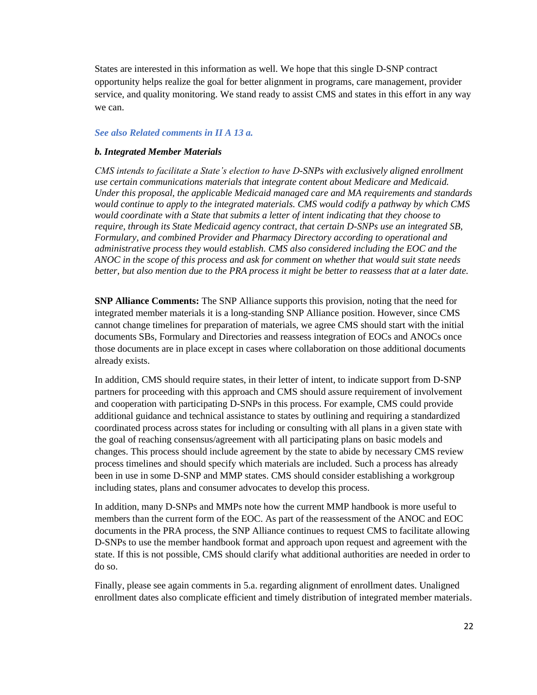States are interested in this information as well. We hope that this single D-SNP contract opportunity helps realize the goal for better alignment in programs, care management, provider service, and quality monitoring. We stand ready to assist CMS and states in this effort in any way we can.

#### *See also Related comments in II A 13 a.*

#### *b. Integrated Member Materials*

*CMS intends to facilitate a State's election to have D-SNPs with exclusively aligned enrollment use certain communications materials that integrate content about Medicare and Medicaid. Under this proposal, the applicable Medicaid managed care and MA requirements and standards would continue to apply to the integrated materials. CMS would codify a pathway by which CMS would coordinate with a State that submits a letter of intent indicating that they choose to require, through its State Medicaid agency contract, that certain D-SNPs use an integrated SB, Formulary, and combined Provider and Pharmacy Directory according to operational and administrative process they would establish. CMS also considered including the EOC and the ANOC in the scope of this process and ask for comment on whether that would suit state needs better, but also mention due to the PRA process it might be better to reassess that at a later date.* 

**SNP Alliance Comments:** The SNP Alliance supports this provision, noting that the need for integrated member materials it is a long-standing SNP Alliance position. However, since CMS cannot change timelines for preparation of materials, we agree CMS should start with the initial documents SBs, Formulary and Directories and reassess integration of EOCs and ANOCs once those documents are in place except in cases where collaboration on those additional documents already exists.

In addition, CMS should require states, in their letter of intent, to indicate support from D-SNP partners for proceeding with this approach and CMS should assure requirement of involvement and cooperation with participating D-SNPs in this process. For example, CMS could provide additional guidance and technical assistance to states by outlining and requiring a standardized coordinated process across states for including or consulting with all plans in a given state with the goal of reaching consensus/agreement with all participating plans on basic models and changes. This process should include agreement by the state to abide by necessary CMS review process timelines and should specify which materials are included. Such a process has already been in use in some D-SNP and MMP states. CMS should consider establishing a workgroup including states, plans and consumer advocates to develop this process.

In addition, many D-SNPs and MMPs note how the current MMP handbook is more useful to members than the current form of the EOC. As part of the reassessment of the ANOC and EOC documents in the PRA process, the SNP Alliance continues to request CMS to facilitate allowing D-SNPs to use the member handbook format and approach upon request and agreement with the state. If this is not possible, CMS should clarify what additional authorities are needed in order to do so.

Finally, please see again comments in 5.a. regarding alignment of enrollment dates. Unaligned enrollment dates also complicate efficient and timely distribution of integrated member materials.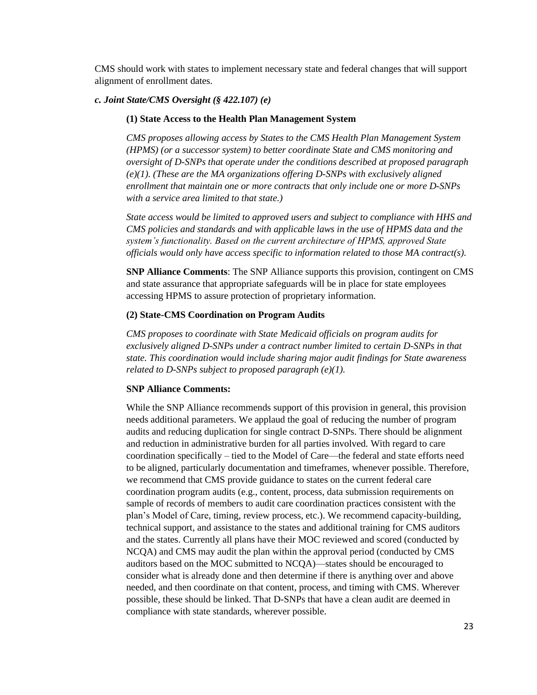CMS should work with states to implement necessary state and federal changes that will support alignment of enrollment dates.

#### *c. Joint State/CMS Oversight (§ 422.107) (e)*

#### **(1) State Access to the Health Plan Management System**

*CMS proposes allowing access by States to the CMS Health Plan Management System (HPMS) (or a successor system) to better coordinate State and CMS monitoring and oversight of D-SNPs that operate under the conditions described at proposed paragraph (e)(1). (These are the MA organizations offering D-SNPs with exclusively aligned enrollment that maintain one or more contracts that only include one or more D-SNPs with a service area limited to that state.)*

*State access would be limited to approved users and subject to compliance with HHS and CMS policies and standards and with applicable laws in the use of HPMS data and the system's functionality. Based on the current architecture of HPMS, approved State officials would only have access specific to information related to those MA contract(s).* 

**SNP Alliance Comments**: The SNP Alliance supports this provision, contingent on CMS and state assurance that appropriate safeguards will be in place for state employees accessing HPMS to assure protection of proprietary information.

#### **(2) State-CMS Coordination on Program Audits**

*CMS proposes to coordinate with State Medicaid officials on program audits for exclusively aligned D-SNPs under a contract number limited to certain D-SNPs in that state. This coordination would include sharing major audit findings for State awareness related to D-SNPs subject to proposed paragraph (e)(1).*

#### **SNP Alliance Comments:**

While the SNP Alliance recommends support of this provision in general, this provision needs additional parameters. We applaud the goal of reducing the number of program audits and reducing duplication for single contract D-SNPs. There should be alignment and reduction in administrative burden for all parties involved. With regard to care coordination specifically – tied to the Model of Care—the federal and state efforts need to be aligned, particularly documentation and timeframes, whenever possible. Therefore, we recommend that CMS provide guidance to states on the current federal care coordination program audits (e.g., content, process, data submission requirements on sample of records of members to audit care coordination practices consistent with the plan's Model of Care, timing, review process, etc.). We recommend capacity-building, technical support, and assistance to the states and additional training for CMS auditors and the states. Currently all plans have their MOC reviewed and scored (conducted by NCQA) and CMS may audit the plan within the approval period (conducted by CMS auditors based on the MOC submitted to NCQA)—states should be encouraged to consider what is already done and then determine if there is anything over and above needed, and then coordinate on that content, process, and timing with CMS. Wherever possible, these should be linked. That D-SNPs that have a clean audit are deemed in compliance with state standards, wherever possible.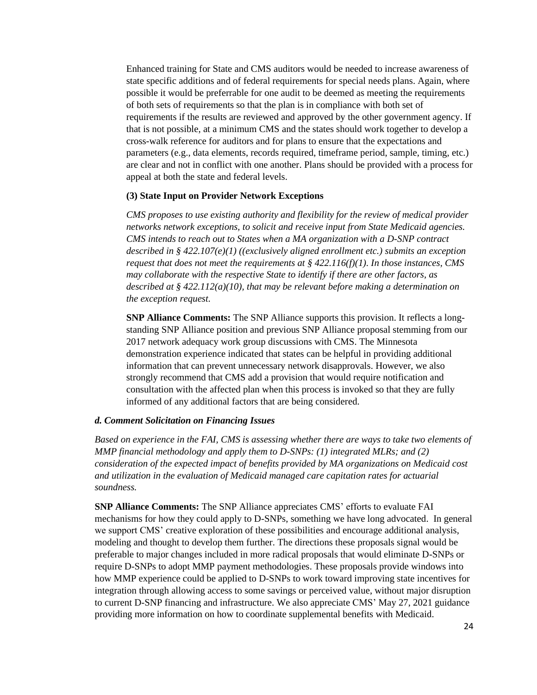Enhanced training for State and CMS auditors would be needed to increase awareness of state specific additions and of federal requirements for special needs plans. Again, where possible it would be preferrable for one audit to be deemed as meeting the requirements of both sets of requirements so that the plan is in compliance with both set of requirements if the results are reviewed and approved by the other government agency. If that is not possible, at a minimum CMS and the states should work together to develop a cross-walk reference for auditors and for plans to ensure that the expectations and parameters (e.g., data elements, records required, timeframe period, sample, timing, etc.) are clear and not in conflict with one another. Plans should be provided with a process for appeal at both the state and federal levels.

#### **(3) State Input on Provider Network Exceptions**

*CMS proposes to use existing authority and flexibility for the review of medical provider networks network exceptions, to solicit and receive input from State Medicaid agencies. CMS intends to reach out to States when a MA organization with a D-SNP contract described in § 422.107(e)(1) ((exclusively aligned enrollment etc.) submits an exception request that does not meet the requirements at § 422.116(f)(1). In those instances, CMS may collaborate with the respective State to identify if there are other factors, as described at § 422.112(a)(10), that may be relevant before making a determination on the exception request.*

**SNP Alliance Comments:** The SNP Alliance supports this provision. It reflects a longstanding SNP Alliance position and previous SNP Alliance proposal stemming from our 2017 network adequacy work group discussions with CMS. The Minnesota demonstration experience indicated that states can be helpful in providing additional information that can prevent unnecessary network disapprovals. However, we also strongly recommend that CMS add a provision that would require notification and consultation with the affected plan when this process is invoked so that they are fully informed of any additional factors that are being considered.

#### *d. Comment Solicitation on Financing Issues*

*Based on experience in the FAI, CMS is assessing whether there are ways to take two elements of MMP financial methodology and apply them to D-SNPs: (1) integrated MLRs; and (2) consideration of the expected impact of benefits provided by MA organizations on Medicaid cost and utilization in the evaluation of Medicaid managed care capitation rates for actuarial soundness.*

**SNP Alliance Comments:** The SNP Alliance appreciates CMS' efforts to evaluate FAI mechanisms for how they could apply to D-SNPs, something we have long advocated. In general we support CMS' creative exploration of these possibilities and encourage additional analysis, modeling and thought to develop them further. The directions these proposals signal would be preferable to major changes included in more radical proposals that would eliminate D-SNPs or require D-SNPs to adopt MMP payment methodologies. These proposals provide windows into how MMP experience could be applied to D-SNPs to work toward improving state incentives for integration through allowing access to some savings or perceived value, without major disruption to current D-SNP financing and infrastructure. We also appreciate CMS' May 27, 2021 guidance providing more information on how to coordinate supplemental benefits with Medicaid.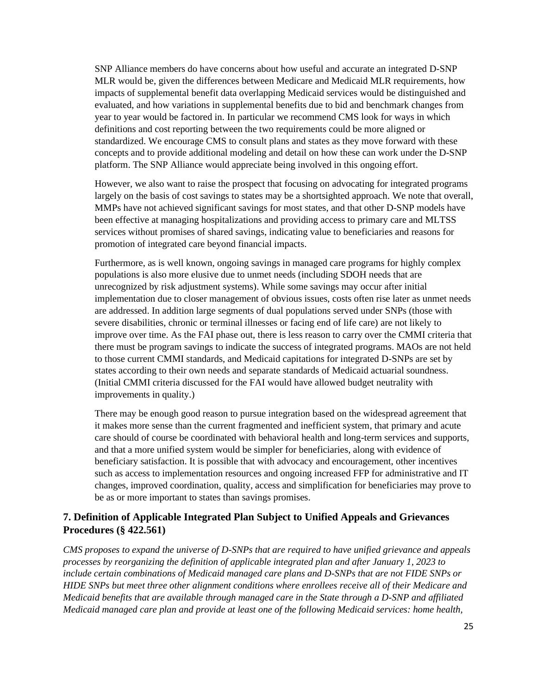SNP Alliance members do have concerns about how useful and accurate an integrated D-SNP MLR would be, given the differences between Medicare and Medicaid MLR requirements, how impacts of supplemental benefit data overlapping Medicaid services would be distinguished and evaluated, and how variations in supplemental benefits due to bid and benchmark changes from year to year would be factored in. In particular we recommend CMS look for ways in which definitions and cost reporting between the two requirements could be more aligned or standardized. We encourage CMS to consult plans and states as they move forward with these concepts and to provide additional modeling and detail on how these can work under the D-SNP platform. The SNP Alliance would appreciate being involved in this ongoing effort.

However, we also want to raise the prospect that focusing on advocating for integrated programs largely on the basis of cost savings to states may be a shortsighted approach. We note that overall, MMPs have not achieved significant savings for most states, and that other D-SNP models have been effective at managing hospitalizations and providing access to primary care and MLTSS services without promises of shared savings, indicating value to beneficiaries and reasons for promotion of integrated care beyond financial impacts.

Furthermore, as is well known, ongoing savings in managed care programs for highly complex populations is also more elusive due to unmet needs (including SDOH needs that are unrecognized by risk adjustment systems). While some savings may occur after initial implementation due to closer management of obvious issues, costs often rise later as unmet needs are addressed. In addition large segments of dual populations served under SNPs (those with severe disabilities, chronic or terminal illnesses or facing end of life care) are not likely to improve over time. As the FAI phase out, there is less reason to carry over the CMMI criteria that there must be program savings to indicate the success of integrated programs. MAOs are not held to those current CMMI standards, and Medicaid capitations for integrated D-SNPs are set by states according to their own needs and separate standards of Medicaid actuarial soundness. (Initial CMMI criteria discussed for the FAI would have allowed budget neutrality with improvements in quality.)

There may be enough good reason to pursue integration based on the widespread agreement that it makes more sense than the current fragmented and inefficient system, that primary and acute care should of course be coordinated with behavioral health and long-term services and supports, and that a more unified system would be simpler for beneficiaries, along with evidence of beneficiary satisfaction. It is possible that with advocacy and encouragement, other incentives such as access to implementation resources and ongoing increased FFP for administrative and IT changes, improved coordination, quality, access and simplification for beneficiaries may prove to be as or more important to states than savings promises.

## **7. Definition of Applicable Integrated Plan Subject to Unified Appeals and Grievances Procedures (§ 422.561)**

*CMS proposes to expand the universe of D-SNPs that are required to have unified grievance and appeals processes by reorganizing the definition of applicable integrated plan and after January 1, 2023 to include certain combinations of Medicaid managed care plans and D-SNPs that are not FIDE SNPs or HIDE SNPs but meet three other alignment conditions where enrollees receive all of their Medicare and Medicaid benefits that are available through managed care in the State through a D-SNP and affiliated Medicaid managed care plan and provide at least one of the following Medicaid services: home health,*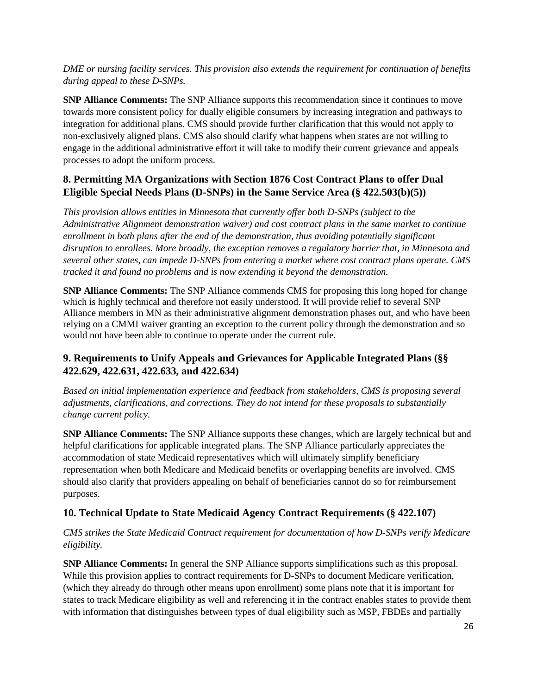### *DME or nursing facility services. This provision also extends the requirement for continuation of benefits during appeal to these D-SNPs.*

**SNP Alliance Comments:** The SNP Alliance supports this recommendation since it continues to move towards more consistent policy for dually eligible consumers by increasing integration and pathways to integration for additional plans. CMS should provide further clarification that this would not apply to non-exclusively aligned plans. CMS also should clarify what happens when states are not willing to engage in the additional administrative effort it will take to modify their current grievance and appeals processes to adopt the uniform process.

# **8. Permitting MA Organizations with Section 1876 Cost Contract Plans to offer Dual Eligible Special Needs Plans (D-SNPs) in the Same Service Area (§ 422.503(b)(5))**

*This provision allows entities in Minnesota that currently offer both D-SNPs (subject to the Administrative Alignment demonstration waiver) and cost contract plans in the same market to continue enrollment in both plans after the end of the demonstration, thus avoiding potentially significant disruption to enrollees. More broadly, the exception removes a regulatory barrier that, in Minnesota and several other states, can impede D-SNPs from entering a market where cost contract plans operate. CMS tracked it and found no problems and is now extending it beyond the demonstration.*

**SNP Alliance Comments:** The SNP Alliance commends CMS for proposing this long hoped for change which is highly technical and therefore not easily understood. It will provide relief to several SNP Alliance members in MN as their administrative alignment demonstration phases out, and who have been relying on a CMMI waiver granting an exception to the current policy through the demonstration and so would not have been able to continue to operate under the current rule.

# **9. Requirements to Unify Appeals and Grievances for Applicable Integrated Plans (§§ 422.629, 422.631, 422.633, and 422.634)**

*Based on initial implementation experience and feedback from stakeholders, CMS is proposing several adjustments, clarifications, and corrections. They do not intend for these proposals to substantially change current policy.*

**SNP Alliance Comments:** The SNP Alliance supports these changes, which are largely technical but and helpful clarifications for applicable integrated plans. The SNP Alliance particularly appreciates the accommodation of state Medicaid representatives which will ultimately simplify beneficiary representation when both Medicare and Medicaid benefits or overlapping benefits are involved. CMS should also clarify that providers appealing on behalf of beneficiaries cannot do so for reimbursement purposes.

## **10. Technical Update to State Medicaid Agency Contract Requirements (§ 422.107)**

*CMS strikes the State Medicaid Contract requirement for documentation of how D-SNPs verify Medicare eligibility.*

**SNP Alliance Comments:** In general the SNP Alliance supports simplifications such as this proposal. While this provision applies to contract requirements for D-SNPs to document Medicare verification, (which they already do through other means upon enrollment) some plans note that it is important for states to track Medicare eligibility as well and referencing it in the contract enables states to provide them with information that distinguishes between types of dual eligibility such as MSP, FBDEs and partially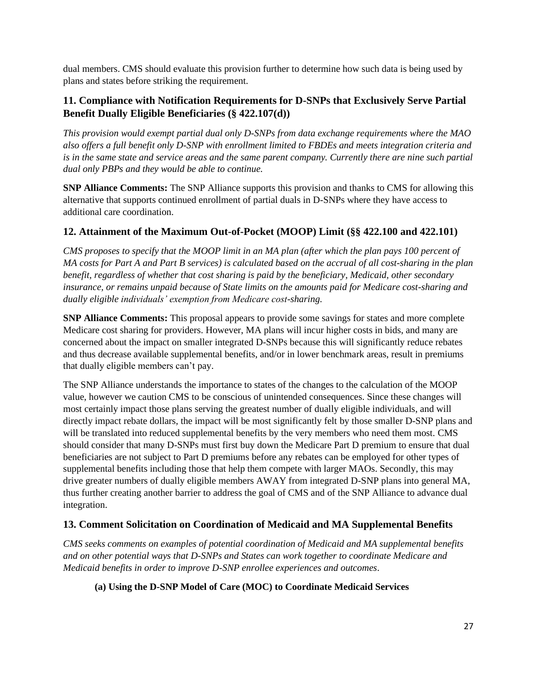dual members. CMS should evaluate this provision further to determine how such data is being used by plans and states before striking the requirement.

## **11. Compliance with Notification Requirements for D-SNPs that Exclusively Serve Partial Benefit Dually Eligible Beneficiaries (§ 422.107(d))**

*This provision would exempt partial dual only D-SNPs from data exchange requirements where the MAO also offers a full benefit only D-SNP with enrollment limited to FBDEs and meets integration criteria and is in the same state and service areas and the same parent company. Currently there are nine such partial dual only PBPs and they would be able to continue.* 

**SNP Alliance Comments:** The SNP Alliance supports this provision and thanks to CMS for allowing this alternative that supports continued enrollment of partial duals in D-SNPs where they have access to additional care coordination.

## **12. Attainment of the Maximum Out-of-Pocket (MOOP) Limit (§§ 422.100 and 422.101)**

*CMS proposes to specify that the MOOP limit in an MA plan (after which the plan pays 100 percent of MA costs for Part A and Part B services) is calculated based on the accrual of all cost-sharing in the plan benefit, regardless of whether that cost sharing is paid by the beneficiary, Medicaid, other secondary insurance, or remains unpaid because of State limits on the amounts paid for Medicare cost-sharing and dually eligible individuals' exemption from Medicare cost-sharing.*

**SNP Alliance Comments:** This proposal appears to provide some savings for states and more complete Medicare cost sharing for providers. However, MA plans will incur higher costs in bids, and many are concerned about the impact on smaller integrated D-SNPs because this will significantly reduce rebates and thus decrease available supplemental benefits, and/or in lower benchmark areas, result in premiums that dually eligible members can't pay.

The SNP Alliance understands the importance to states of the changes to the calculation of the MOOP value, however we caution CMS to be conscious of unintended consequences. Since these changes will most certainly impact those plans serving the greatest number of dually eligible individuals, and will directly impact rebate dollars, the impact will be most significantly felt by those smaller D-SNP plans and will be translated into reduced supplemental benefits by the very members who need them most. CMS should consider that many D-SNPs must first buy down the Medicare Part D premium to ensure that dual beneficiaries are not subject to Part D premiums before any rebates can be employed for other types of supplemental benefits including those that help them compete with larger MAOs. Secondly, this may drive greater numbers of dually eligible members AWAY from integrated D-SNP plans into general MA, thus further creating another barrier to address the goal of CMS and of the SNP Alliance to advance dual integration.

## **13. Comment Solicitation on Coordination of Medicaid and MA Supplemental Benefits**

*CMS seeks comments on examples of potential coordination of Medicaid and MA supplemental benefits and on other potential ways that D-SNPs and States can work together to coordinate Medicare and Medicaid benefits in order to improve D-SNP enrollee experiences and outcomes*.

## **(a) Using the D-SNP Model of Care (MOC) to Coordinate Medicaid Services**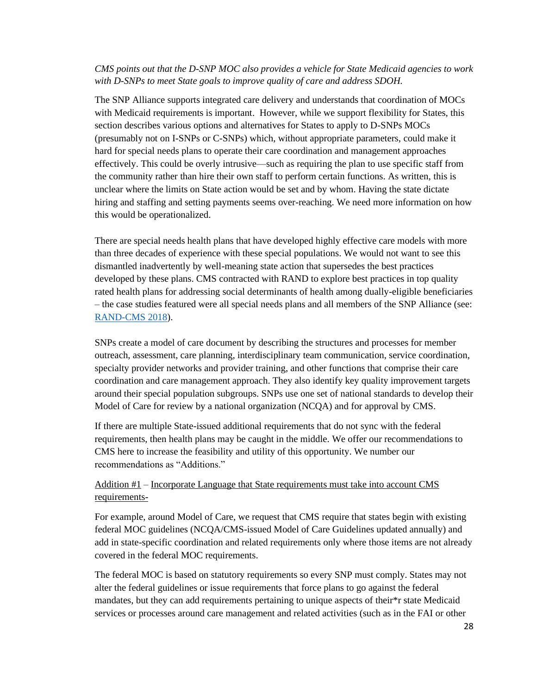### *CMS points out that the D-SNP MOC also provides a vehicle for State Medicaid agencies to work with D-SNPs to meet State goals to improve quality of care and address SDOH.*

The SNP Alliance supports integrated care delivery and understands that coordination of MOCs with Medicaid requirements is important. However, while we support flexibility for States, this section describes various options and alternatives for States to apply to D-SNPs MOCs (presumably not on I-SNPs or C-SNPs) which, without appropriate parameters, could make it hard for special needs plans to operate their care coordination and management approaches effectively. This could be overly intrusive—such as requiring the plan to use specific staff from the community rather than hire their own staff to perform certain functions. As written, this is unclear where the limits on State action would be set and by whom. Having the state dictate hiring and staffing and setting payments seems over-reaching. We need more information on how this would be operationalized.

There are special needs health plans that have developed highly effective care models with more than three decades of experience with these special populations. We would not want to see this dismantled inadvertently by well-meaning state action that supersedes the best practices developed by these plans. CMS contracted with RAND to explore best practices in top quality rated health plans for addressing social determinants of health among dually-eligible beneficiaries – the case studies featured were all special needs plans and all members of the SNP Alliance (see: [RAND-CMS 2018\)](about:blank).

SNPs create a model of care document by describing the structures and processes for member outreach, assessment, care planning, interdisciplinary team communication, service coordination, specialty provider networks and provider training, and other functions that comprise their care coordination and care management approach. They also identify key quality improvement targets around their special population subgroups. SNPs use one set of national standards to develop their Model of Care for review by a national organization (NCQA) and for approval by CMS.

If there are multiple State-issued additional requirements that do not sync with the federal requirements, then health plans may be caught in the middle. We offer our recommendations to CMS here to increase the feasibility and utility of this opportunity. We number our recommendations as "Additions."

### Addition #1 – Incorporate Language that State requirements must take into account CMS requirements-

For example, around Model of Care, we request that CMS require that states begin with existing federal MOC guidelines (NCQA/CMS-issued Model of Care Guidelines updated annually) and add in state-specific coordination and related requirements only where those items are not already covered in the federal MOC requirements.

The federal MOC is based on statutory requirements so every SNP must comply. States may not alter the federal guidelines or issue requirements that force plans to go against the federal mandates, but they can add requirements pertaining to unique aspects of their\*r state Medicaid services or processes around care management and related activities (such as in the FAI or other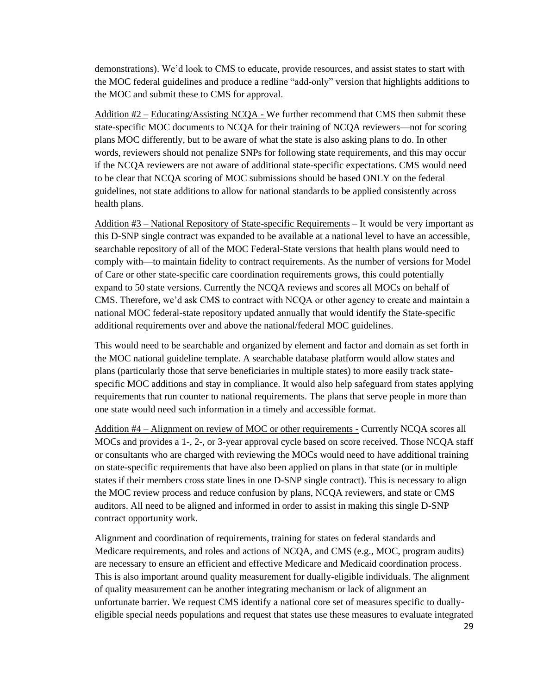demonstrations). We'd look to CMS to educate, provide resources, and assist states to start with the MOC federal guidelines and produce a redline "add-only" version that highlights additions to the MOC and submit these to CMS for approval.

Addition  $#2 -$  Educating/Assisting NCQA - We further recommend that CMS then submit these state-specific MOC documents to NCQA for their training of NCQA reviewers—not for scoring plans MOC differently, but to be aware of what the state is also asking plans to do. In other words, reviewers should not penalize SNPs for following state requirements, and this may occur if the NCQA reviewers are not aware of additional state-specific expectations. CMS would need to be clear that NCQA scoring of MOC submissions should be based ONLY on the federal guidelines, not state additions to allow for national standards to be applied consistently across health plans.

Addition #3 – National Repository of State-specific Requirements – It would be very important as this D-SNP single contract was expanded to be available at a national level to have an accessible, searchable repository of all of the MOC Federal-State versions that health plans would need to comply with—to maintain fidelity to contract requirements. As the number of versions for Model of Care or other state-specific care coordination requirements grows, this could potentially expand to 50 state versions. Currently the NCQA reviews and scores all MOCs on behalf of CMS. Therefore, we'd ask CMS to contract with NCQA or other agency to create and maintain a national MOC federal-state repository updated annually that would identify the State-specific additional requirements over and above the national/federal MOC guidelines.

This would need to be searchable and organized by element and factor and domain as set forth in the MOC national guideline template. A searchable database platform would allow states and plans (particularly those that serve beneficiaries in multiple states) to more easily track statespecific MOC additions and stay in compliance. It would also help safeguard from states applying requirements that run counter to national requirements. The plans that serve people in more than one state would need such information in a timely and accessible format.

Addition #4 – Alignment on review of MOC or other requirements - Currently NCQA scores all MOCs and provides a 1-, 2-, or 3-year approval cycle based on score received. Those NCQA staff or consultants who are charged with reviewing the MOCs would need to have additional training on state-specific requirements that have also been applied on plans in that state (or in multiple states if their members cross state lines in one D-SNP single contract). This is necessary to align the MOC review process and reduce confusion by plans, NCQA reviewers, and state or CMS auditors. All need to be aligned and informed in order to assist in making this single D-SNP contract opportunity work.

Alignment and coordination of requirements, training for states on federal standards and Medicare requirements, and roles and actions of NCQA, and CMS (e.g., MOC, program audits) are necessary to ensure an efficient and effective Medicare and Medicaid coordination process. This is also important around quality measurement for dually-eligible individuals. The alignment of quality measurement can be another integrating mechanism or lack of alignment an unfortunate barrier. We request CMS identify a national core set of measures specific to duallyeligible special needs populations and request that states use these measures to evaluate integrated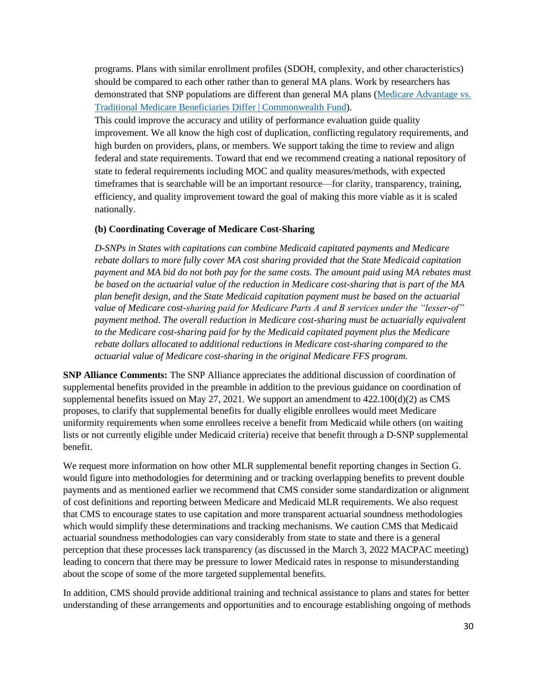programs. Plans with similar enrollment profiles (SDOH, complexity, and other characteristics) should be compared to each other rather than to general MA plans. Work by researchers has demonstrated that SNP populations are different than general MA plans [\(Medicare Advantage vs.](about:blank)  [Traditional Medicare Beneficiaries Differ | Commonwealth Fund\)](about:blank).

This could improve the accuracy and utility of performance evaluation guide quality improvement. We all know the high cost of duplication, conflicting regulatory requirements, and high burden on providers, plans, or members. We support taking the time to review and align federal and state requirements. Toward that end we recommend creating a national repository of state to federal requirements including MOC and quality measures/methods, with expected timeframes that is searchable will be an important resource—for clarity, transparency, training, efficiency, and quality improvement toward the goal of making this more viable as it is scaled nationally.

#### **(b) Coordinating Coverage of Medicare Cost-Sharing**

*D-SNPs in States with capitations can combine Medicaid capitated payments and Medicare rebate dollars to more fully cover MA cost sharing provided that the State Medicaid capitation payment and MA bid do not both pay for the same costs. The amount paid using MA rebates must be based on the actuarial value of the reduction in Medicare cost-sharing that is part of the MA plan benefit design, and the State Medicaid capitation payment must be based on the actuarial value of Medicare cost-sharing paid for Medicare Parts A and B services under the "lesser-of" payment method. The overall reduction in Medicare cost-sharing must be actuarially equivalent to the Medicare cost-sharing paid for by the Medicaid capitated payment plus the Medicare rebate dollars allocated to additional reductions in Medicare cost-sharing compared to the actuarial value of Medicare cost-sharing in the original Medicare FFS program.* 

**SNP Alliance Comments:** The SNP Alliance appreciates the additional discussion of coordination of supplemental benefits provided in the preamble in addition to the previous guidance on coordination of supplemental benefits issued on May 27, 2021. We support an amendment to  $422.100(d)(2)$  as CMS proposes, to clarify that supplemental benefits for dually eligible enrollees would meet Medicare uniformity requirements when some enrollees receive a benefit from Medicaid while others (on waiting lists or not currently eligible under Medicaid criteria) receive that benefit through a D-SNP supplemental benefit.

We request more information on how other MLR supplemental benefit reporting changes in Section G. would figure into methodologies for determining and or tracking overlapping benefits to prevent double payments and as mentioned earlier we recommend that CMS consider some standardization or alignment of cost definitions and reporting between Medicare and Medicaid MLR requirements. We also request that CMS to encourage states to use capitation and more transparent actuarial soundness methodologies which would simplify these determinations and tracking mechanisms. We caution CMS that Medicaid actuarial soundness methodologies can vary considerably from state to state and there is a general perception that these processes lack transparency (as discussed in the March 3, 2022 MACPAC meeting) leading to concern that there may be pressure to lower Medicaid rates in response to misunderstanding about the scope of some of the more targeted supplemental benefits.

In addition, CMS should provide additional training and technical assistance to plans and states for better understanding of these arrangements and opportunities and to encourage establishing ongoing of methods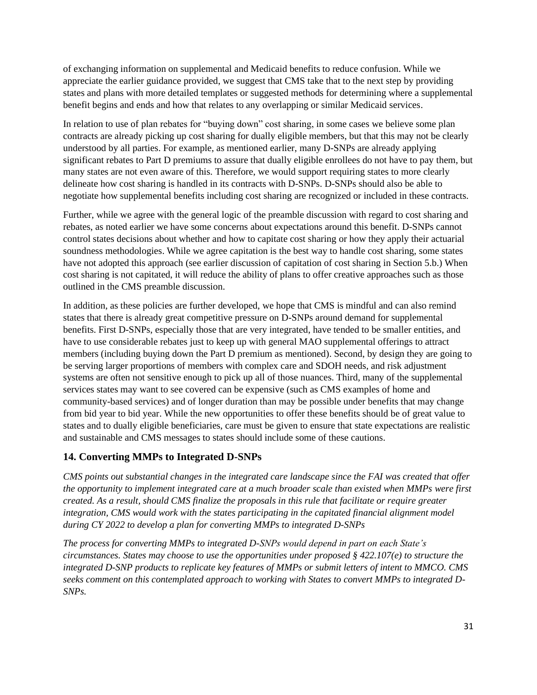of exchanging information on supplemental and Medicaid benefits to reduce confusion. While we appreciate the earlier guidance provided, we suggest that CMS take that to the next step by providing states and plans with more detailed templates or suggested methods for determining where a supplemental benefit begins and ends and how that relates to any overlapping or similar Medicaid services.

In relation to use of plan rebates for "buying down" cost sharing, in some cases we believe some plan contracts are already picking up cost sharing for dually eligible members, but that this may not be clearly understood by all parties. For example, as mentioned earlier, many D-SNPs are already applying significant rebates to Part D premiums to assure that dually eligible enrollees do not have to pay them, but many states are not even aware of this. Therefore, we would support requiring states to more clearly delineate how cost sharing is handled in its contracts with D-SNPs. D-SNPs should also be able to negotiate how supplemental benefits including cost sharing are recognized or included in these contracts.

Further, while we agree with the general logic of the preamble discussion with regard to cost sharing and rebates, as noted earlier we have some concerns about expectations around this benefit. D-SNPs cannot control states decisions about whether and how to capitate cost sharing or how they apply their actuarial soundness methodologies. While we agree capitation is the best way to handle cost sharing, some states have not adopted this approach (see earlier discussion of capitation of cost sharing in Section 5.b.) When cost sharing is not capitated, it will reduce the ability of plans to offer creative approaches such as those outlined in the CMS preamble discussion.

In addition, as these policies are further developed, we hope that CMS is mindful and can also remind states that there is already great competitive pressure on D-SNPs around demand for supplemental benefits. First D-SNPs, especially those that are very integrated, have tended to be smaller entities, and have to use considerable rebates just to keep up with general MAO supplemental offerings to attract members (including buying down the Part D premium as mentioned). Second, by design they are going to be serving larger proportions of members with complex care and SDOH needs, and risk adjustment systems are often not sensitive enough to pick up all of those nuances. Third, many of the supplemental services states may want to see covered can be expensive (such as CMS examples of home and community-based services) and of longer duration than may be possible under benefits that may change from bid year to bid year. While the new opportunities to offer these benefits should be of great value to states and to dually eligible beneficiaries, care must be given to ensure that state expectations are realistic and sustainable and CMS messages to states should include some of these cautions.

## **14. Converting MMPs to Integrated D-SNPs**

*CMS points out substantial changes in the integrated care landscape since the FAI was created that offer the opportunity to implement integrated care at a much broader scale than existed when MMPs were first created. As a result, should CMS finalize the proposals in this rule that facilitate or require greater integration, CMS would work with the states participating in the capitated financial alignment model during CY 2022 to develop a plan for converting MMPs to integrated D-SNPs*

*The process for converting MMPs to integrated D-SNPs would depend in part on each State's circumstances. States may choose to use the opportunities under proposed § 422.107(e) to structure the integrated D-SNP products to replicate key features of MMPs or submit letters of intent to MMCO. CMS seeks comment on this contemplated approach to working with States to convert MMPs to integrated D-SNPs.*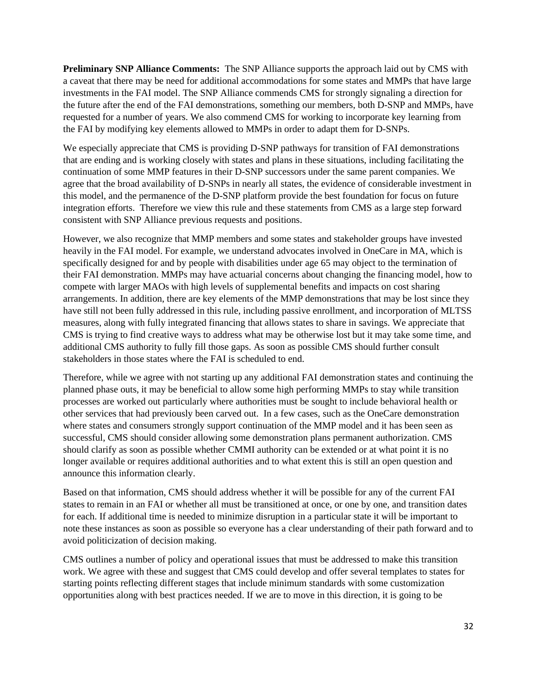**Preliminary SNP Alliance Comments:** The SNP Alliance supports the approach laid out by CMS with a caveat that there may be need for additional accommodations for some states and MMPs that have large investments in the FAI model. The SNP Alliance commends CMS for strongly signaling a direction for the future after the end of the FAI demonstrations, something our members, both D-SNP and MMPs, have requested for a number of years. We also commend CMS for working to incorporate key learning from the FAI by modifying key elements allowed to MMPs in order to adapt them for D-SNPs.

We especially appreciate that CMS is providing D-SNP pathways for transition of FAI demonstrations that are ending and is working closely with states and plans in these situations, including facilitating the continuation of some MMP features in their D-SNP successors under the same parent companies. We agree that the broad availability of D-SNPs in nearly all states, the evidence of considerable investment in this model, and the permanence of the D-SNP platform provide the best foundation for focus on future integration efforts. Therefore we view this rule and these statements from CMS as a large step forward consistent with SNP Alliance previous requests and positions.

However, we also recognize that MMP members and some states and stakeholder groups have invested heavily in the FAI model. For example, we understand advocates involved in OneCare in MA, which is specifically designed for and by people with disabilities under age 65 may object to the termination of their FAI demonstration. MMPs may have actuarial concerns about changing the financing model, how to compete with larger MAOs with high levels of supplemental benefits and impacts on cost sharing arrangements. In addition, there are key elements of the MMP demonstrations that may be lost since they have still not been fully addressed in this rule, including passive enrollment, and incorporation of MLTSS measures, along with fully integrated financing that allows states to share in savings. We appreciate that CMS is trying to find creative ways to address what may be otherwise lost but it may take some time, and additional CMS authority to fully fill those gaps. As soon as possible CMS should further consult stakeholders in those states where the FAI is scheduled to end.

Therefore, while we agree with not starting up any additional FAI demonstration states and continuing the planned phase outs, it may be beneficial to allow some high performing MMPs to stay while transition processes are worked out particularly where authorities must be sought to include behavioral health or other services that had previously been carved out. In a few cases, such as the OneCare demonstration where states and consumers strongly support continuation of the MMP model and it has been seen as successful, CMS should consider allowing some demonstration plans permanent authorization. CMS should clarify as soon as possible whether CMMI authority can be extended or at what point it is no longer available or requires additional authorities and to what extent this is still an open question and announce this information clearly.

Based on that information, CMS should address whether it will be possible for any of the current FAI states to remain in an FAI or whether all must be transitioned at once, or one by one, and transition dates for each. If additional time is needed to minimize disruption in a particular state it will be important to note these instances as soon as possible so everyone has a clear understanding of their path forward and to avoid politicization of decision making.

CMS outlines a number of policy and operational issues that must be addressed to make this transition work. We agree with these and suggest that CMS could develop and offer several templates to states for starting points reflecting different stages that include minimum standards with some customization opportunities along with best practices needed. If we are to move in this direction, it is going to be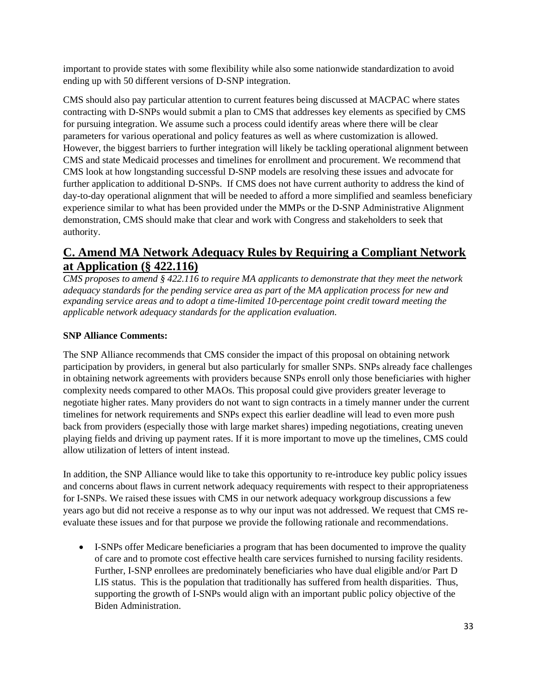important to provide states with some flexibility while also some nationwide standardization to avoid ending up with 50 different versions of D-SNP integration.

CMS should also pay particular attention to current features being discussed at MACPAC where states contracting with D-SNPs would submit a plan to CMS that addresses key elements as specified by CMS for pursuing integration. We assume such a process could identify areas where there will be clear parameters for various operational and policy features as well as where customization is allowed. However, the biggest barriers to further integration will likely be tackling operational alignment between CMS and state Medicaid processes and timelines for enrollment and procurement. We recommend that CMS look at how longstanding successful D-SNP models are resolving these issues and advocate for further application to additional D-SNPs. If CMS does not have current authority to address the kind of day-to-day operational alignment that will be needed to afford a more simplified and seamless beneficiary experience similar to what has been provided under the MMPs or the D-SNP Administrative Alignment demonstration, CMS should make that clear and work with Congress and stakeholders to seek that authority.

# **C. Amend MA Network Adequacy Rules by Requiring a Compliant Network at Application (§ 422.116)**

*CMS proposes to amend § 422.116 to require MA applicants to demonstrate that they meet the network adequacy standards for the pending service area as part of the MA application process for new and expanding service areas and to adopt a time-limited 10-percentage point credit toward meeting the applicable network adequacy standards for the application evaluation.*

## **SNP Alliance Comments:**

The SNP Alliance recommends that CMS consider the impact of this proposal on obtaining network participation by providers, in general but also particularly for smaller SNPs. SNPs already face challenges in obtaining network agreements with providers because SNPs enroll only those beneficiaries with higher complexity needs compared to other MAOs. This proposal could give providers greater leverage to negotiate higher rates. Many providers do not want to sign contracts in a timely manner under the current timelines for network requirements and SNPs expect this earlier deadline will lead to even more push back from providers (especially those with large market shares) impeding negotiations, creating uneven playing fields and driving up payment rates. If it is more important to move up the timelines, CMS could allow utilization of letters of intent instead.

In addition, the SNP Alliance would like to take this opportunity to re-introduce key public policy issues and concerns about flaws in current network adequacy requirements with respect to their appropriateness for I-SNPs. We raised these issues with CMS in our network adequacy workgroup discussions a few years ago but did not receive a response as to why our input was not addressed. We request that CMS reevaluate these issues and for that purpose we provide the following rationale and recommendations.

• I-SNPs offer Medicare beneficiaries a program that has been documented to improve the quality of care and to promote cost effective health care services furnished to nursing facility residents. Further, I-SNP enrollees are predominately beneficiaries who have dual eligible and/or Part D LIS status. This is the population that traditionally has suffered from health disparities. Thus, supporting the growth of I-SNPs would align with an important public policy objective of the Biden Administration.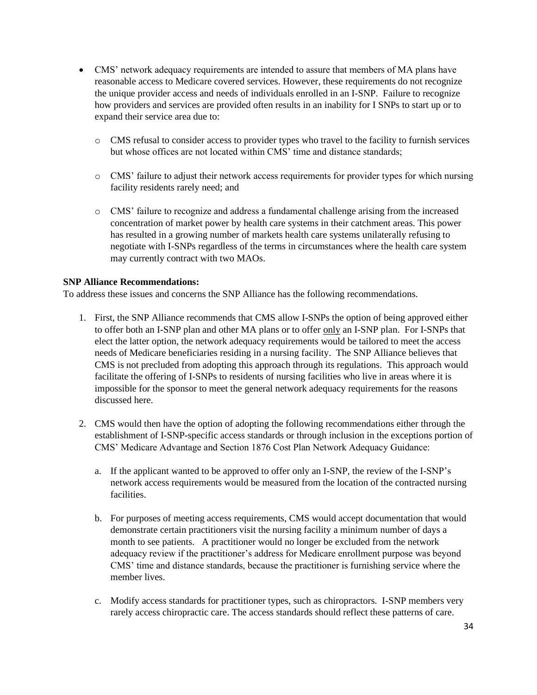- CMS' network adequacy requirements are intended to assure that members of MA plans have reasonable access to Medicare covered services. However, these requirements do not recognize the unique provider access and needs of individuals enrolled in an I-SNP. Failure to recognize how providers and services are provided often results in an inability for I SNPs to start up or to expand their service area due to:
	- o CMS refusal to consider access to provider types who travel to the facility to furnish services but whose offices are not located within CMS' time and distance standards;
	- o CMS' failure to adjust their network access requirements for provider types for which nursing facility residents rarely need; and
	- o CMS' failure to recognize and address a fundamental challenge arising from the increased concentration of market power by health care systems in their catchment areas. This power has resulted in a growing number of markets health care systems unilaterally refusing to negotiate with I-SNPs regardless of the terms in circumstances where the health care system may currently contract with two MAOs.

### **SNP Alliance Recommendations:**

To address these issues and concerns the SNP Alliance has the following recommendations.

- 1. First, the SNP Alliance recommends that CMS allow I-SNPs the option of being approved either to offer both an I-SNP plan and other MA plans or to offer only an I-SNP plan. For I-SNPs that elect the latter option, the network adequacy requirements would be tailored to meet the access needs of Medicare beneficiaries residing in a nursing facility. The SNP Alliance believes that CMS is not precluded from adopting this approach through its regulations. This approach would facilitate the offering of I-SNPs to residents of nursing facilities who live in areas where it is impossible for the sponsor to meet the general network adequacy requirements for the reasons discussed here.
- 2. CMS would then have the option of adopting the following recommendations either through the establishment of I-SNP-specific access standards or through inclusion in the exceptions portion of CMS' Medicare Advantage and Section 1876 Cost Plan Network Adequacy Guidance:
	- a. If the applicant wanted to be approved to offer only an I-SNP, the review of the I-SNP's network access requirements would be measured from the location of the contracted nursing facilities.
	- b. For purposes of meeting access requirements, CMS would accept documentation that would demonstrate certain practitioners visit the nursing facility a minimum number of days a month to see patients. A practitioner would no longer be excluded from the network adequacy review if the practitioner's address for Medicare enrollment purpose was beyond CMS' time and distance standards, because the practitioner is furnishing service where the member lives.
	- c. Modify access standards for practitioner types, such as chiropractors. I-SNP members very rarely access chiropractic care. The access standards should reflect these patterns of care.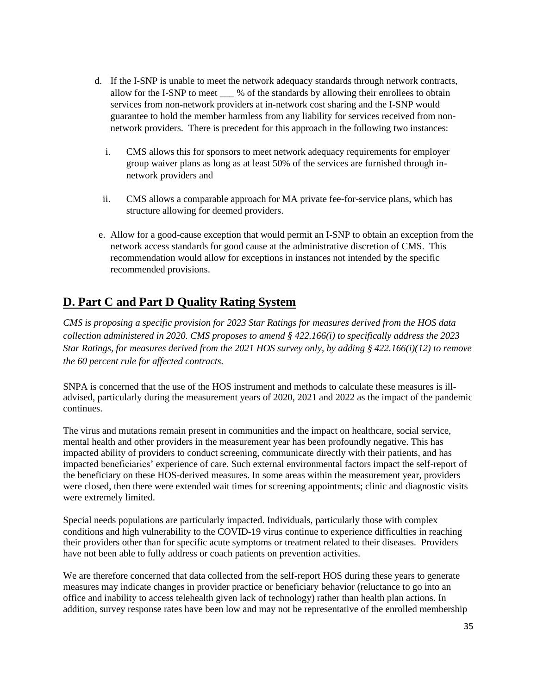- d. If the I-SNP is unable to meet the network adequacy standards through network contracts, allow for the I-SNP to meet  $\frac{1}{2}$  % of the standards by allowing their enrollees to obtain services from non-network providers at in-network cost sharing and the I-SNP would guarantee to hold the member harmless from any liability for services received from nonnetwork providers. There is precedent for this approach in the following two instances:
	- i. CMS allows this for sponsors to meet network adequacy requirements for employer group waiver plans as long as at least 50% of the services are furnished through innetwork providers and
	- ii. CMS allows a comparable approach for MA private fee-for-service plans, which has structure allowing for deemed providers.
- e. Allow for a good-cause exception that would permit an I-SNP to obtain an exception from the network access standards for good cause at the administrative discretion of CMS. This recommendation would allow for exceptions in instances not intended by the specific recommended provisions.

# **D. Part C and Part D Quality Rating System**

*CMS is proposing a specific provision for 2023 Star Ratings for measures derived from the HOS data collection administered in 2020. CMS proposes to amend § 422.166(i) to specifically address the 2023 Star Ratings, for measures derived from the 2021 HOS survey only, by adding § 422.166(i)(12) to remove the 60 percent rule for affected contracts.* 

SNPA is concerned that the use of the HOS instrument and methods to calculate these measures is illadvised, particularly during the measurement years of 2020, 2021 and 2022 as the impact of the pandemic continues.

The virus and mutations remain present in communities and the impact on healthcare, social service, mental health and other providers in the measurement year has been profoundly negative. This has impacted ability of providers to conduct screening, communicate directly with their patients, and has impacted beneficiaries' experience of care. Such external environmental factors impact the self-report of the beneficiary on these HOS-derived measures. In some areas within the measurement year, providers were closed, then there were extended wait times for screening appointments; clinic and diagnostic visits were extremely limited.

Special needs populations are particularly impacted. Individuals, particularly those with complex conditions and high vulnerability to the COVID-19 virus continue to experience difficulties in reaching their providers other than for specific acute symptoms or treatment related to their diseases. Providers have not been able to fully address or coach patients on prevention activities.

We are therefore concerned that data collected from the self-report HOS during these years to generate measures may indicate changes in provider practice or beneficiary behavior (reluctance to go into an office and inability to access telehealth given lack of technology) rather than health plan actions. In addition, survey response rates have been low and may not be representative of the enrolled membership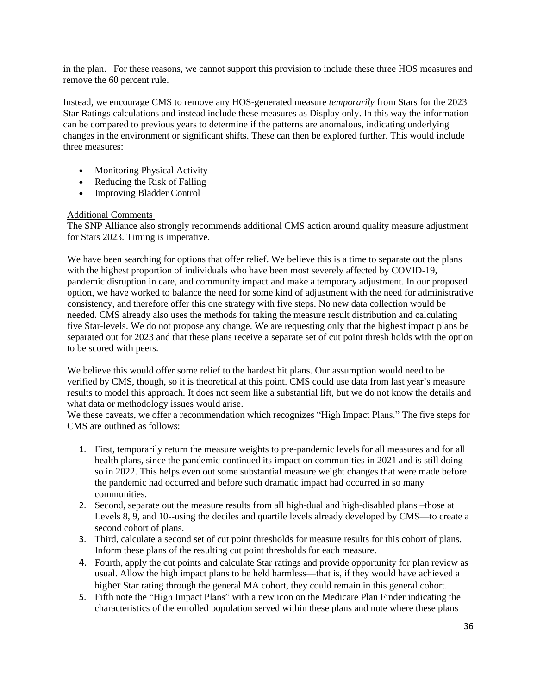in the plan. For these reasons, we cannot support this provision to include these three HOS measures and remove the 60 percent rule.

Instead, we encourage CMS to remove any HOS-generated measure *temporarily* from Stars for the 2023 Star Ratings calculations and instead include these measures as Display only. In this way the information can be compared to previous years to determine if the patterns are anomalous, indicating underlying changes in the environment or significant shifts. These can then be explored further. This would include three measures:

- Monitoring Physical Activity
- Reducing the Risk of Falling
- Improving Bladder Control

### Additional Comments

The SNP Alliance also strongly recommends additional CMS action around quality measure adjustment for Stars 2023. Timing is imperative.

We have been searching for options that offer relief. We believe this is a time to separate out the plans with the highest proportion of individuals who have been most severely affected by COVID-19, pandemic disruption in care, and community impact and make a temporary adjustment. In our proposed option, we have worked to balance the need for some kind of adjustment with the need for administrative consistency, and therefore offer this one strategy with five steps. No new data collection would be needed. CMS already also uses the methods for taking the measure result distribution and calculating five Star-levels. We do not propose any change. We are requesting only that the highest impact plans be separated out for 2023 and that these plans receive a separate set of cut point thresh holds with the option to be scored with peers.

We believe this would offer some relief to the hardest hit plans. Our assumption would need to be verified by CMS, though, so it is theoretical at this point. CMS could use data from last year's measure results to model this approach. It does not seem like a substantial lift, but we do not know the details and what data or methodology issues would arise.

We these caveats, we offer a recommendation which recognizes "High Impact Plans." The five steps for CMS are outlined as follows:

- 1. First, temporarily return the measure weights to pre-pandemic levels for all measures and for all health plans, since the pandemic continued its impact on communities in 2021 and is still doing so in 2022. This helps even out some substantial measure weight changes that were made before the pandemic had occurred and before such dramatic impact had occurred in so many communities.
- 2. Second, separate out the measure results from all high-dual and high-disabled plans –those at Levels 8, 9, and 10--using the deciles and quartile levels already developed by CMS—to create a second cohort of plans.
- 3. Third, calculate a second set of cut point thresholds for measure results for this cohort of plans. Inform these plans of the resulting cut point thresholds for each measure.
- 4. Fourth, apply the cut points and calculate Star ratings and provide opportunity for plan review as usual. Allow the high impact plans to be held harmless—that is, if they would have achieved a higher Star rating through the general MA cohort, they could remain in this general cohort.
- 5. Fifth note the "High Impact Plans" with a new icon on the Medicare Plan Finder indicating the characteristics of the enrolled population served within these plans and note where these plans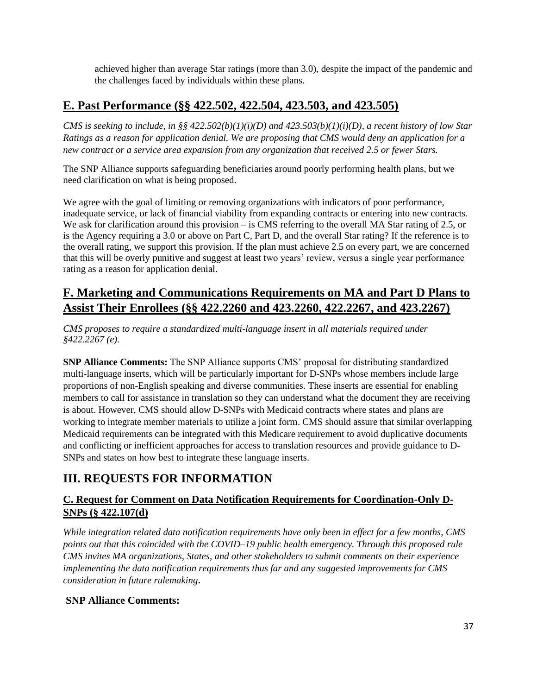achieved higher than average Star ratings (more than 3.0), despite the impact of the pandemic and the challenges faced by individuals within these plans.

# **E. Past Performance (§§ 422.502, 422.504, 423.503, and 423.505)**

*CMS is seeking to include, in §§ 422.502(b)(1)(i)(D) and 423.503(b)(1)(i)(D), a recent history of low Star Ratings as a reason for application denial. We are proposing that CMS would deny an application for a new contract or a service area expansion from any organization that received 2.5 or fewer Stars.* 

The SNP Alliance supports safeguarding beneficiaries around poorly performing health plans, but we need clarification on what is being proposed.

We agree with the goal of limiting or removing organizations with indicators of poor performance, inadequate service, or lack of financial viability from expanding contracts or entering into new contracts. We ask for clarification around this provision – is CMS referring to the overall MA Star rating of 2.5, or is the Agency requiring a 3.0 or above on Part C, Part D, and the overall Star rating? If the reference is to the overall rating, we support this provision. If the plan must achieve 2.5 on every part, we are concerned that this will be overly punitive and suggest at least two years' review, versus a single year performance rating as a reason for application denial.

# **F. Marketing and Communications Requirements on MA and Part D Plans to Assist Their Enrollees (§§ 422.2260 and 423.2260, 422.2267, and 423.2267)**

*CMS proposes to require a standardized multi-language insert in all materials required under §422.2267 (e).* 

**SNP Alliance Comments:** The SNP Alliance supports CMS' proposal for distributing standardized multi-language inserts, which will be particularly important for D-SNPs whose members include large proportions of non-English speaking and diverse communities. These inserts are essential for enabling members to call for assistance in translation so they can understand what the document they are receiving is about. However, CMS should allow D-SNPs with Medicaid contracts where states and plans are working to integrate member materials to utilize a joint form. CMS should assure that similar overlapping Medicaid requirements can be integrated with this Medicare requirement to avoid duplicative documents and conflicting or inefficient approaches for access to translation resources and provide guidance to D-SNPs and states on how best to integrate these language inserts.

# **III. REQUESTS FOR INFORMATION**

# **C. Request for Comment on Data Notification Requirements for Coordination-Only D-SNPs (§ 422.107(d)**

*While integration related data notification requirements have only been in effect for a few months, CMS points out that this coincided with the COVID–19 public health emergency. Through this proposed rule CMS invites MA organizations, States, and other stakeholders to submit comments on their experience implementing the data notification requirements thus far and any suggested improvements for CMS consideration in future rulemaking***.**

# **SNP Alliance Comments:**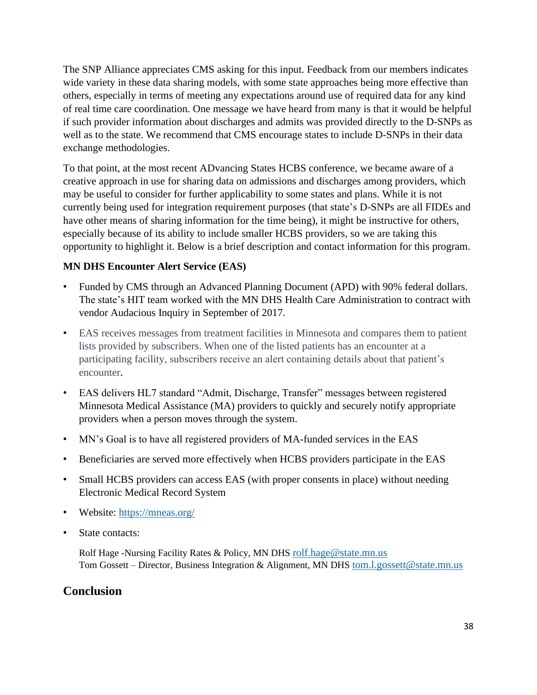The SNP Alliance appreciates CMS asking for this input. Feedback from our members indicates wide variety in these data sharing models, with some state approaches being more effective than others, especially in terms of meeting any expectations around use of required data for any kind of real time care coordination. One message we have heard from many is that it would be helpful if such provider information about discharges and admits was provided directly to the D-SNPs as well as to the state. We recommend that CMS encourage states to include D-SNPs in their data exchange methodologies.

To that point, at the most recent ADvancing States HCBS conference, we became aware of a creative approach in use for sharing data on admissions and discharges among providers, which may be useful to consider for further applicability to some states and plans. While it is not currently being used for integration requirement purposes (that state's D-SNPs are all FIDEs and have other means of sharing information for the time being), it might be instructive for others, especially because of its ability to include smaller HCBS providers, so we are taking this opportunity to highlight it. Below is a brief description and contact information for this program.

# **MN DHS Encounter Alert Service (EAS)**

- Funded by CMS through an Advanced Planning Document (APD) with 90% federal dollars. The state's HIT team worked with the MN DHS Health Care Administration to contract with vendor Audacious Inquiry in September of 2017.
- EAS receives messages from treatment facilities in Minnesota and compares them to patient lists provided by subscribers. When one of the listed patients has an encounter at a participating facility, subscribers receive an alert containing details about that patient's encounter**.**
- EAS delivers HL7 standard "Admit, Discharge, Transfer" messages between registered Minnesota Medical Assistance (MA) providers to quickly and securely notify appropriate providers when a person moves through the system.
- MN's Goal is to have all registered providers of MA-funded services in the EAS
- Beneficiaries are served more effectively when HCBS providers participate in the EAS
- Small HCBS providers can access EAS (with proper consents in place) without needing Electronic Medical Record System
- Website: [https://mneas.org/](about:blank)
- State contacts:

Rolf Hage -Nursing Facility Rates & Policy, MN DHS [rolf.hage@state.mn.us](about:blank) Tom Gossett – Director, Business Integration & Alignment, MN DHS [tom.l.gossett@state.mn.us](about:blank)

# **Conclusion**